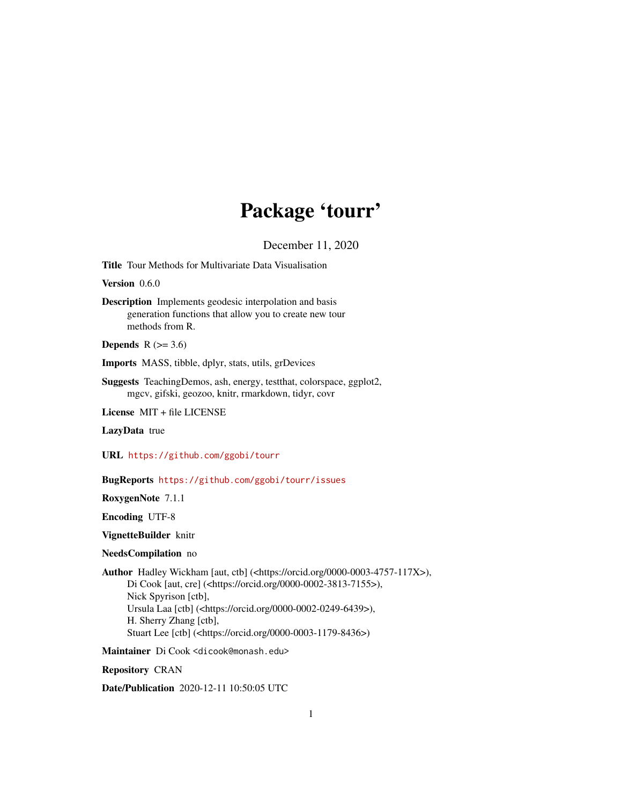## Package 'tourr'

December 11, 2020

<span id="page-0-0"></span>Title Tour Methods for Multivariate Data Visualisation

Version 0.6.0

Description Implements geodesic interpolation and basis generation functions that allow you to create new tour methods from R.

**Depends**  $R$  ( $>= 3.6$ )

Imports MASS, tibble, dplyr, stats, utils, grDevices

Suggests TeachingDemos, ash, energy, testthat, colorspace, ggplot2, mgcv, gifski, geozoo, knitr, rmarkdown, tidyr, covr

License MIT + file LICENSE

LazyData true

URL <https://github.com/ggobi/tourr>

BugReports <https://github.com/ggobi/tourr/issues>

RoxygenNote 7.1.1

Encoding UTF-8

VignetteBuilder knitr

## NeedsCompilation no

Author Hadley Wickham [aut, ctb] (<https://orcid.org/0000-0003-4757-117X>), Di Cook [aut, cre] (<https://orcid.org/0000-0002-3813-7155>), Nick Spyrison [ctb], Ursula Laa [ctb] (<https://orcid.org/0000-0002-0249-6439>), H. Sherry Zhang [ctb], Stuart Lee [ctb] (<https://orcid.org/0000-0003-1179-8436>)

Maintainer Di Cook <dicook@monash.edu>

Repository CRAN

Date/Publication 2020-12-11 10:50:05 UTC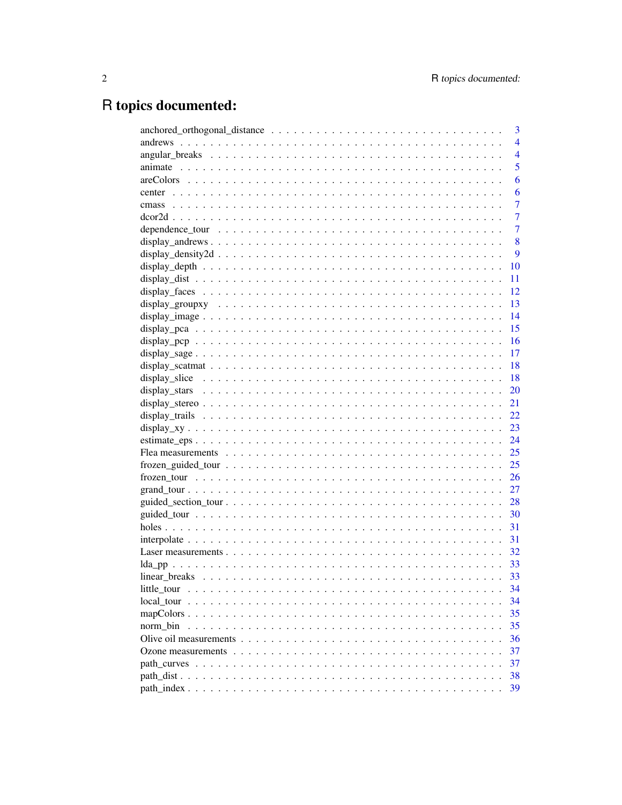# R topics documented:

|             | 3              |
|-------------|----------------|
|             | $\overline{4}$ |
|             | $\overline{4}$ |
|             | 5              |
|             | 6              |
| center      | 6              |
| cmass       | $\overline{7}$ |
|             | $\overline{7}$ |
|             | $\overline{7}$ |
|             | 8              |
|             | 9              |
|             | 10             |
|             | 11             |
|             | 12             |
|             | 13             |
|             | 14             |
|             | 15             |
|             | 16             |
|             | 17             |
|             | 18             |
|             | 18             |
|             | 20             |
|             | 21             |
|             | 22             |
|             | 23             |
|             | 24             |
|             | 25             |
|             | 25             |
|             | 26             |
|             | 27             |
|             | 28             |
|             | 30             |
|             | 31             |
|             | 31             |
|             | 32             |
|             | 33             |
|             | 33             |
| little tour | 34             |
|             | 34             |
|             | 35             |
| norm bin    | 35             |
|             | 36             |
|             | 37             |
|             | 37             |
|             | 38             |
|             | 39             |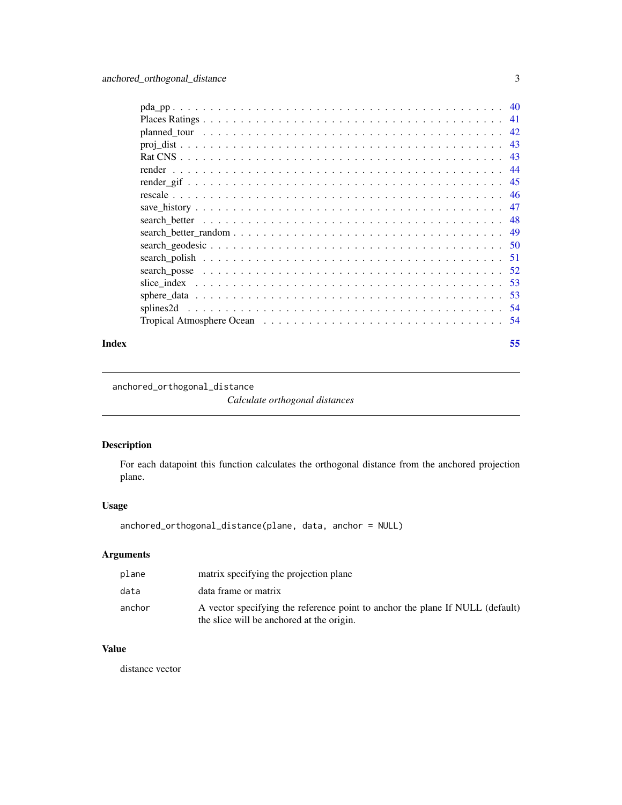<span id="page-2-0"></span>

| -40 |
|-----|
| 41  |
| 42  |
| 43  |
| 43  |
| 44  |
| 45  |
| 46  |
| 47  |
| 48  |
| 49  |
| 50  |
|     |
| .52 |
| .53 |
| 53  |
| .54 |
| -54 |
|     |

#### **Index** [55](#page-54-0)

anchored\_orthogonal\_distance

*Calculate orthogonal distances*

## Description

For each datapoint this function calculates the orthogonal distance from the anchored projection plane.

## Usage

anchored\_orthogonal\_distance(plane, data, anchor = NULL)

## Arguments

| plane  | matrix specifying the projection plane                                                                                     |
|--------|----------------------------------------------------------------------------------------------------------------------------|
| data   | data frame or matrix                                                                                                       |
| anchor | A vector specifying the reference point to anchor the plane If NULL (default)<br>the slice will be anchored at the origin. |

## Value

distance vector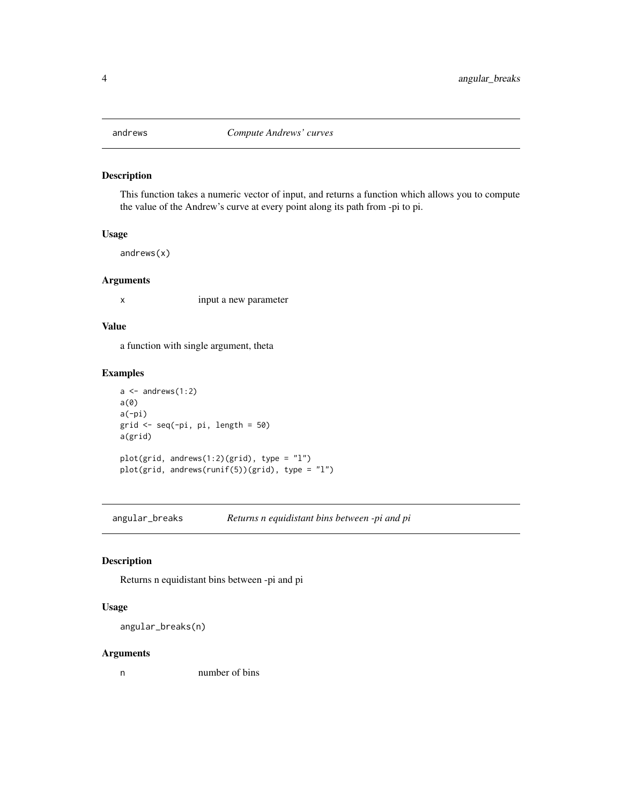<span id="page-3-1"></span><span id="page-3-0"></span>

This function takes a numeric vector of input, and returns a function which allows you to compute the value of the Andrew's curve at every point along its path from -pi to pi.

## Usage

andrews(x)

#### Arguments

x input a new parameter

## Value

a function with single argument, theta

#### Examples

```
a \leftarrow andrews(1:2)
a(0)
a(-pi)
grid <- seq(-pi, pi, length = 50)
a(grid)
plot(grid, andrews(1:2)(grid), type = "l")
plot(grid, andrews(runif(5))(grid), type = "l")
```
angular\_breaks *Returns n equidistant bins between -pi and pi*

## Description

Returns n equidistant bins between -pi and pi

#### Usage

```
angular_breaks(n)
```
#### Arguments

n number of bins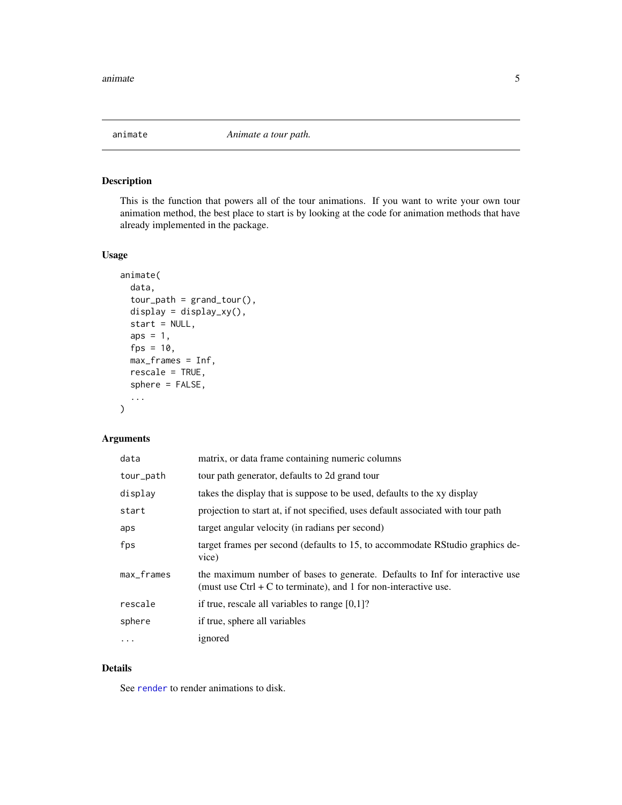<span id="page-4-1"></span><span id="page-4-0"></span>

This is the function that powers all of the tour animations. If you want to write your own tour animation method, the best place to start is by looking at the code for animation methods that have already implemented in the package.

#### Usage

```
animate(
  data,
  tour_path = grand_tour(),
  display = display_xy(),
  start = NULL,
  aps = 1,fps = 10,
 max_frames = Inf,
  rescale = TRUE,
  sphere = FALSE,
  ...
)
```
## Arguments

| data          | matrix, or data frame containing numeric columns                                                                                                   |
|---------------|----------------------------------------------------------------------------------------------------------------------------------------------------|
| tour_path     | tour path generator, defaults to 2d grand tour                                                                                                     |
| display       | takes the display that is suppose to be used, defaults to the xy display                                                                           |
| start         | projection to start at, if not specified, uses default associated with tour path                                                                   |
| aps           | target angular velocity (in radians per second)                                                                                                    |
| fps           | target frames per second (defaults to 15, to accommodate RStudio graphics de-<br>vice)                                                             |
| $max_f$ rames | the maximum number of bases to generate. Defaults to Inf for interactive use<br>(must use $Ctrl + C$ to terminate), and 1 for non-interactive use. |
| rescale       | if true, rescale all variables to range $[0,1]$ ?                                                                                                  |
| sphere        | if true, sphere all variables                                                                                                                      |
| $\cdots$      | ignored                                                                                                                                            |

## Details

See [render](#page-43-1) to render animations to disk.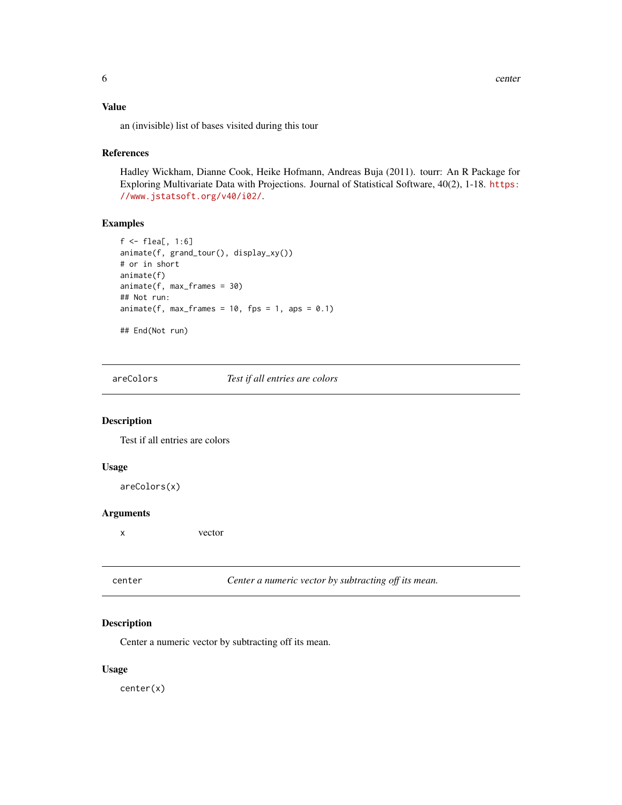## <span id="page-5-0"></span>Value

an (invisible) list of bases visited during this tour

#### References

Hadley Wickham, Dianne Cook, Heike Hofmann, Andreas Buja (2011). tourr: An R Package for Exploring Multivariate Data with Projections. Journal of Statistical Software, 40(2), 1-18. [https:](https://www.jstatsoft.org/v40/i02/) [//www.jstatsoft.org/v40/i02/](https://www.jstatsoft.org/v40/i02/).

## Examples

```
f <- flea[, 1:6]
animate(f, grand_tour(), display_xy())
# or in short
animate(f)
animate(f, max_frames = 30)
## Not run:
animate(f, max_frames = 10, fps = 1, aps = 0.1)## End(Not run)
```
areColors *Test if all entries are colors*

#### Description

Test if all entries are colors

#### Usage

areColors(x)

## Arguments

x vector

| center | Center a numeric vector by subtracting off its mean. |  |
|--------|------------------------------------------------------|--|
|--------|------------------------------------------------------|--|

## Description

Center a numeric vector by subtracting off its mean.

#### Usage

center(x)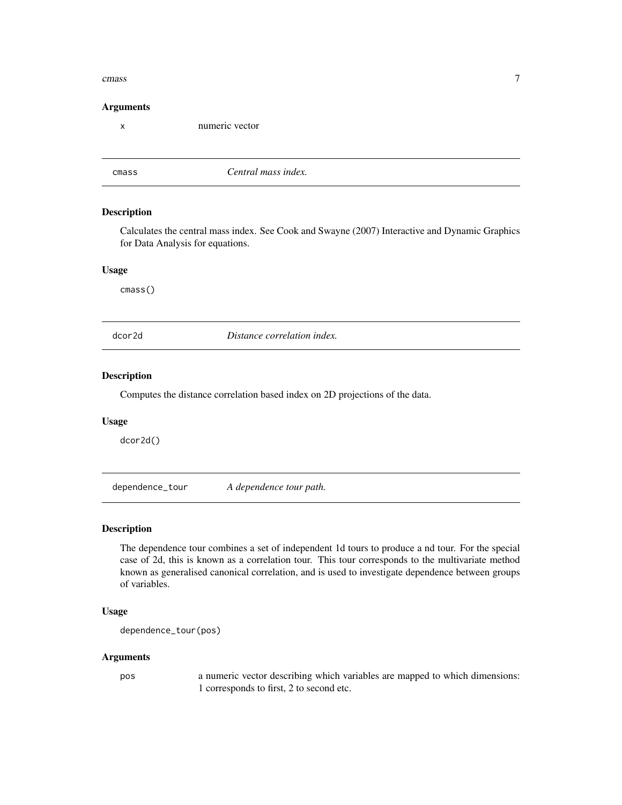#### <span id="page-6-0"></span>cmass and the contract of the contract of the contract of the contract of the contract of the contract of the contract of the contract of the contract of the contract of the contract of the contract of the contract of the

#### Arguments

x numeric vector

<span id="page-6-1"></span>

cmass *Central mass index.*

## Description

Calculates the central mass index. See Cook and Swayne (2007) Interactive and Dynamic Graphics for Data Analysis for equations.

#### Usage

cmass()

dcor2d *Distance correlation index.*

## Description

Computes the distance correlation based index on 2D projections of the data.

#### Usage

dcor2d()

dependence\_tour *A dependence tour path.*

#### Description

The dependence tour combines a set of independent 1d tours to produce a nd tour. For the special case of 2d, this is known as a correlation tour. This tour corresponds to the multivariate method known as generalised canonical correlation, and is used to investigate dependence between groups of variables.

#### Usage

```
dependence_tour(pos)
```
#### Arguments

pos a numeric vector describing which variables are mapped to which dimensions: 1 corresponds to first, 2 to second etc.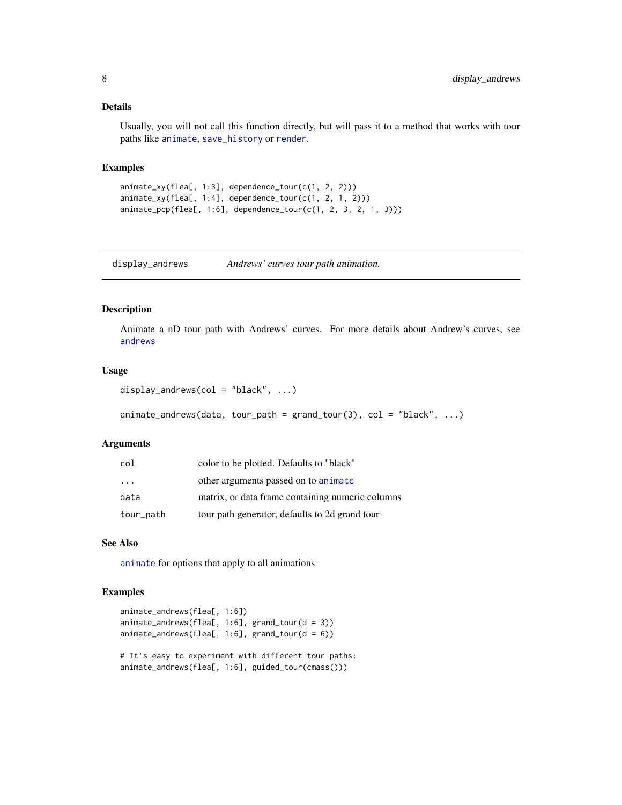#### <span id="page-7-0"></span>Details

Usually, you will not call this function directly, but will pass it to a method that works with tour paths like [animate](#page-4-1), [save\\_history](#page-46-1) or [render](#page-43-1).

## Examples

```
animate_xy(flea[, 1:3], dependence_tour(c(1, 2, 2)))
animate_xy(flea[, 1:4], dependence_tour(c(1, 2, 1, 2)))
animate_pcp(flea[, 1:6], dependence_tour(c(1, 2, 3, 2, 1, 3)))
```
display\_andrews *Andrews' curves tour path animation.*

## Description

Animate a nD tour path with Andrews' curves. For more details about Andrew's curves, see [andrews](#page-3-1)

#### Usage

```
display_andrews(col = "black", \dots)
```

```
animate\_andrews(data, tour\_path = grand\_tour(3), col = "black", ...)
```
#### Arguments

| col       | color to be plotted. Defaults to "black"         |
|-----------|--------------------------------------------------|
| $\cdot$   | other arguments passed on to animate             |
| data      | matrix, or data frame containing numeric columns |
| tour_path | tour path generator, defaults to 2d grand tour   |

## See Also

[animate](#page-4-1) for options that apply to all animations

## Examples

```
animate_andrews(flea[, 1:6])
animate_andrews(flea[, 1:6], grand_tour(d = 3))
animate_andrews(flea[, 1:6], grand_tour(d = 6))
# It's easy to experiment with different tour paths:
animate_andrews(flea[, 1:6], guided_tour(cmass()))
```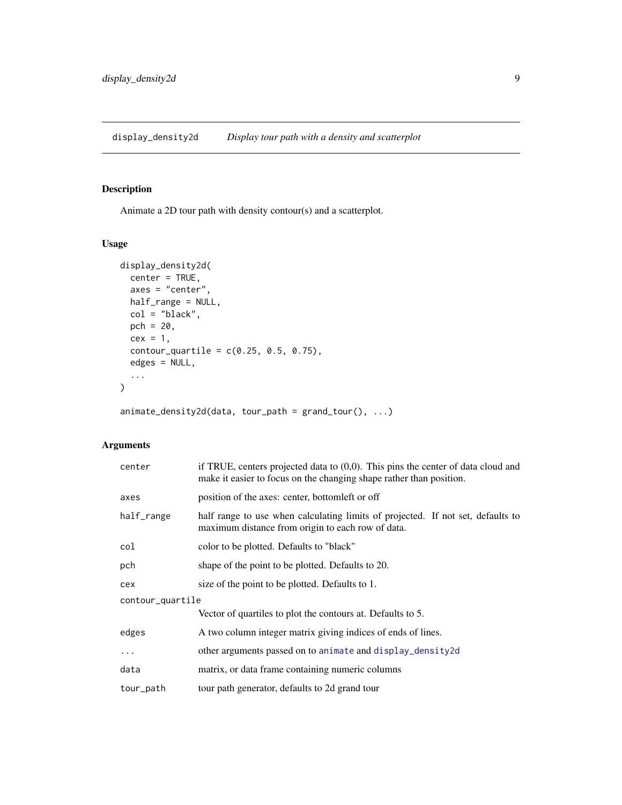<span id="page-8-1"></span><span id="page-8-0"></span>display\_density2d *Display tour path with a density and scatterplot*

## Description

Animate a 2D tour path with density contour(s) and a scatterplot.

## Usage

```
display_density2d(
  center = TRUE,
  axes = "center",
  half_range = NULL,
  col = "black",
  pch = 20,
  cex = 1,
  contour_quantile = c(0.25, 0.5, 0.75),edges = NULL,
  ...
)
```
 $animate\_density2d(data, tour\_path = grand\_tour(), ...)$ 

| center           | if TRUE, centers projected data to $(0,0)$ . This pins the center of data cloud and<br>make it easier to focus on the changing shape rather than position. |  |
|------------------|------------------------------------------------------------------------------------------------------------------------------------------------------------|--|
| axes             | position of the axes: center, bottometh or off                                                                                                             |  |
| half_range       | half range to use when calculating limits of projected. If not set, defaults to<br>maximum distance from origin to each row of data.                       |  |
| col              | color to be plotted. Defaults to "black"                                                                                                                   |  |
| pch              | shape of the point to be plotted. Defaults to 20.                                                                                                          |  |
| cex              | size of the point to be plotted. Defaults to 1.                                                                                                            |  |
| contour_quartile |                                                                                                                                                            |  |
|                  | Vector of quartiles to plot the contours at. Defaults to 5.                                                                                                |  |
| edges            | A two column integer matrix giving indices of ends of lines.                                                                                               |  |
| $\ddots$ .       | other arguments passed on to animate and display_density2d                                                                                                 |  |
| data             | matrix, or data frame containing numeric columns                                                                                                           |  |
| tour_path        | tour path generator, defaults to 2d grand tour                                                                                                             |  |
|                  |                                                                                                                                                            |  |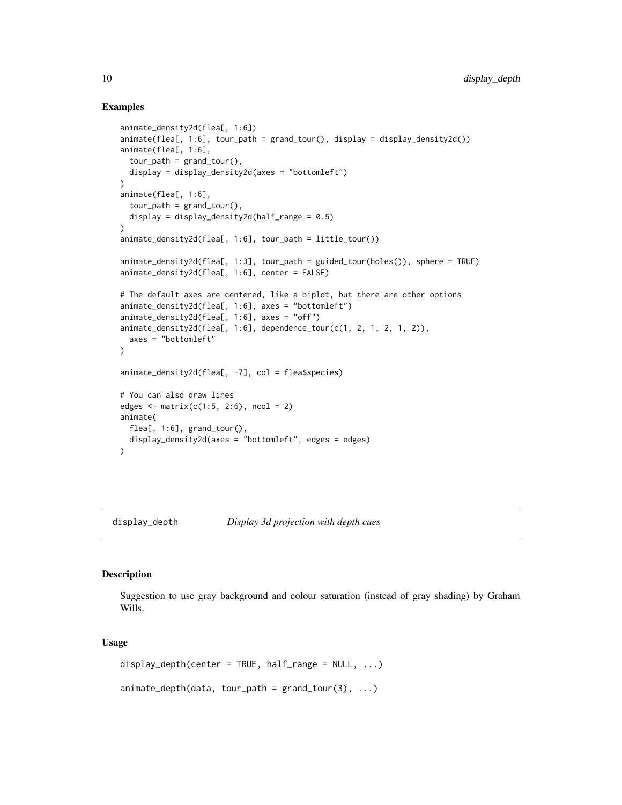#### Examples

```
animate_density2d(flea[, 1:6])
animate(flea[, 1:6], tour_path = grand_tour(), display = display_density2d())
animate(flea[, 1:6],
 tour_path = grand_tour(),
 display = display_density2d(axes = "bottomleft")
)
animate(flea[, 1:6],
 tour\_path = grand\_tour(),display = display_density2d(half_range = 0.5)
\mathcal{L}animate_density2d(flea[, 1:6], tour_path = little_tour())
animate_density2d(flea[, 1:3], tour_path = guided_tour(holes()), sphere = TRUE)
animate_density2d(flea[, 1:6], center = FALSE)
# The default axes are centered, like a biplot, but there are other options
animate_density2d(flea[, 1:6], axes = "bottomleft")
animate_density2d(flea[, 1:6], axes = "off")
animate_density2d(flea[, 1:6], dependence_tour(c(1, 2, 1, 2, 1, 2)),
 axes = "bottomleft"
)
animate_density2d(flea[, -7], col = flea$species)
# You can also draw lines
edges \leq matrix(c(1:5, 2:6), ncol = 2)
animate(
 flea[, 1:6], grand_tour(),
 display_density2d(axes = "bottomleft", edges = edges)
)
```
display\_depth *Display 3d projection with depth cues*

#### Description

Suggestion to use gray background and colour saturation (instead of gray shading) by Graham Wills.

#### Usage

```
display_depth(center = TRUE, half_range = NULL, ...)
```

```
animate\_depth(data, tour\_path = grand\_tour(3), ...)
```
<span id="page-9-0"></span>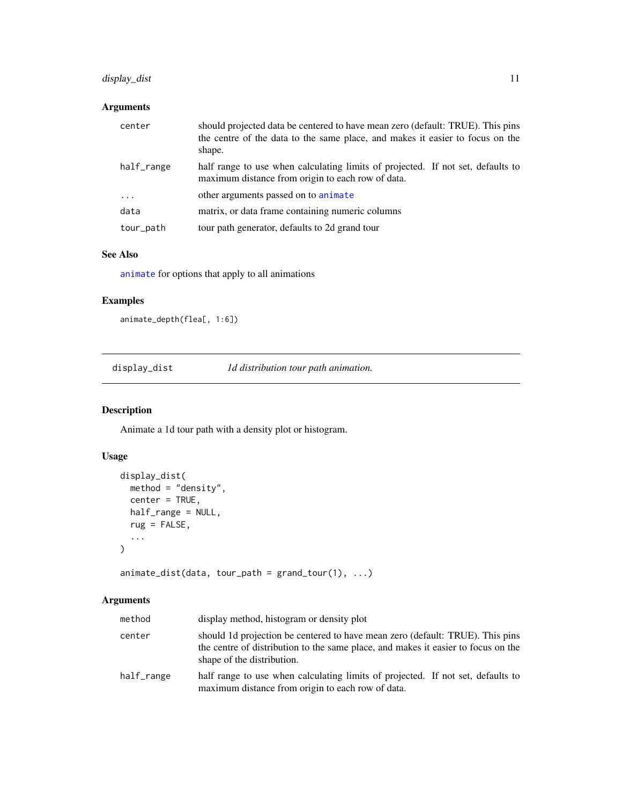## <span id="page-10-0"></span>display\_dist 11

## Arguments

| center     | should projected data be centered to have mean zero (default: TRUE). This pins<br>the centre of the data to the same place, and makes it easier to focus on the<br>shape. |
|------------|---------------------------------------------------------------------------------------------------------------------------------------------------------------------------|
| half_range | half range to use when calculating limits of projected. If not set, defaults to<br>maximum distance from origin to each row of data.                                      |
| $\cdot$    | other arguments passed on to animate                                                                                                                                      |
| data       | matrix, or data frame containing numeric columns                                                                                                                          |
| tour_path  | tour path generator, defaults to 2d grand tour                                                                                                                            |

## See Also

[animate](#page-4-1) for options that apply to all animations

## Examples

```
animate_depth(flea[, 1:6])
```
display\_dist *1d distribution tour path animation.*

## Description

Animate a 1d tour path with a density plot or histogram.

## Usage

```
display_dist(
  method = "density",
  center = TRUE,
  half_range = NULL,
  rug = FALSE,
  ...
\mathcal{L}
```
 $animate\_dist(data, tour\_path = grand\_tour(1), ...)$ 

| method     | display method, histogram or density plot                                                                                                                                                        |
|------------|--------------------------------------------------------------------------------------------------------------------------------------------------------------------------------------------------|
| center     | should 1d projection be centered to have mean zero (default: TRUE). This pins<br>the centre of distribution to the same place, and makes it easier to focus on the<br>shape of the distribution. |
| half_range | half range to use when calculating limits of projected. If not set, defaults to<br>maximum distance from origin to each row of data.                                                             |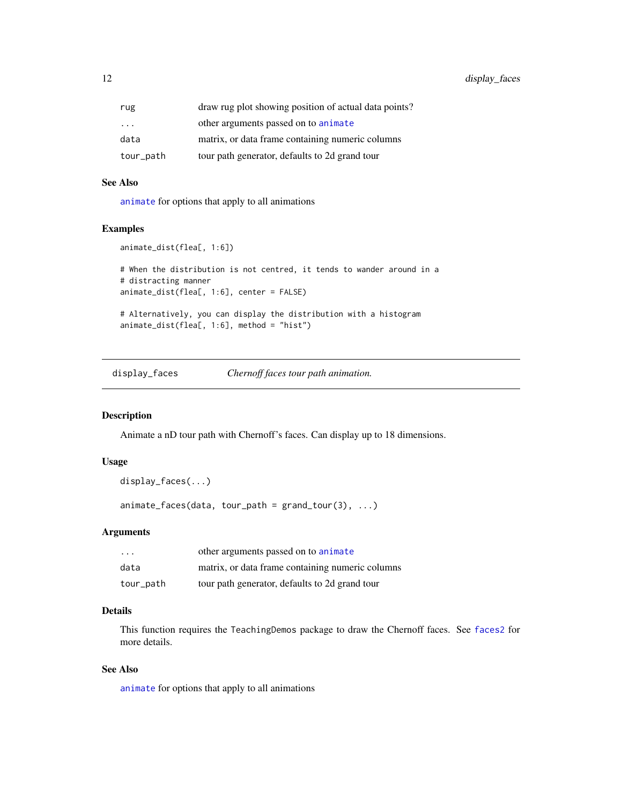<span id="page-11-0"></span>12 display\_faces

| rug       | draw rug plot showing position of actual data points? |
|-----------|-------------------------------------------------------|
| $\ddotsc$ | other arguments passed on to animate                  |
| data      | matrix, or data frame containing numeric columns      |
| tour_path | tour path generator, defaults to 2d grand tour        |

#### See Also

[animate](#page-4-1) for options that apply to all animations

## Examples

```
animate_dist(flea[, 1:6])
# When the distribution is not centred, it tends to wander around in a
# distracting manner
animate_dist(flea[, 1:6], center = FALSE)
# Alternatively, you can display the distribution with a histogram
animate_dist(flea[, 1:6], method = "hist")
```
display\_faces *Chernoff faces tour path animation.*

## Description

Animate a nD tour path with Chernoff's faces. Can display up to 18 dimensions.

#### Usage

```
display_faces(...)
```
 $animate_faces(data, tour_path = grand_tour(3), ...)$ 

## Arguments

| $\cdot$   | other arguments passed on to animate             |
|-----------|--------------------------------------------------|
| data      | matrix, or data frame containing numeric columns |
| tour_path | tour path generator, defaults to 2d grand tour   |

## Details

This function requires the TeachingDemos package to draw the Chernoff faces. See [faces2](#page-0-0) for more details.

## See Also

[animate](#page-4-1) for options that apply to all animations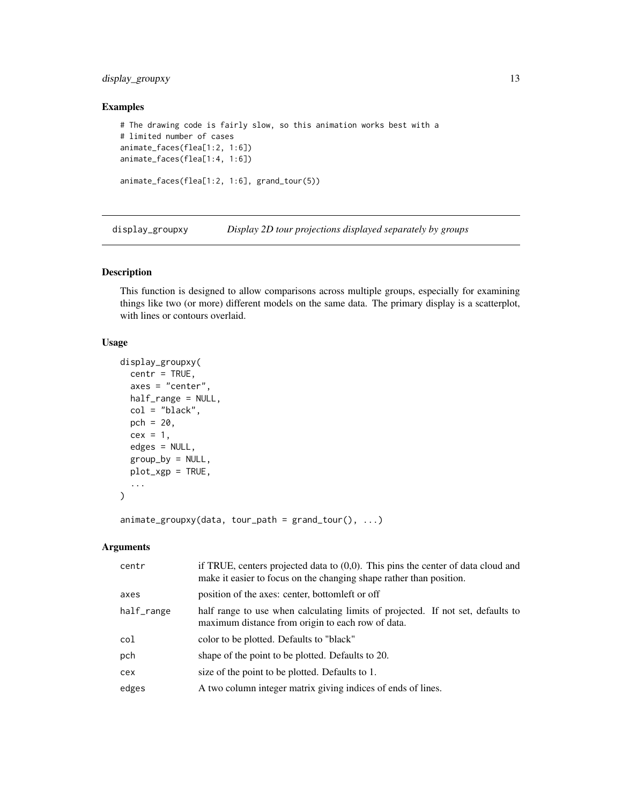## <span id="page-12-0"></span>display\_groupxy 13

## Examples

```
# The drawing code is fairly slow, so this animation works best with a
# limited number of cases
animate_faces(flea[1:2, 1:6])
animate_faces(flea[1:4, 1:6])
animate_faces(flea[1:2, 1:6], grand_tour(5))
```
<span id="page-12-1"></span>display\_groupxy *Display 2D tour projections displayed separately by groups*

## Description

This function is designed to allow comparisons across multiple groups, especially for examining things like two (or more) different models on the same data. The primary display is a scatterplot, with lines or contours overlaid.

## Usage

```
display_groupxy(
  centr = TRUE,
  axes = "center",
 half_range = NULL,
  col = "black",pch = 20,
  cex = 1,
  edges = NULL,
  group_by = NULL,plot_xgp = TRUE,
  ...
)
```
 $animate\_groupxy(data, tour\_path = grand\_tour(), ...)$ 

| centr      | if TRUE, centers projected data to $(0,0)$ . This pins the center of data cloud and<br>make it easier to focus on the changing shape rather than position. |
|------------|------------------------------------------------------------------------------------------------------------------------------------------------------------|
| axes       | position of the axes: center, bottometh or off                                                                                                             |
| half_range | half range to use when calculating limits of projected. If not set, defaults to<br>maximum distance from origin to each row of data.                       |
| col        | color to be plotted. Defaults to "black"                                                                                                                   |
| pch        | shape of the point to be plotted. Defaults to 20.                                                                                                          |
| cex        | size of the point to be plotted. Defaults to 1.                                                                                                            |
| edges      | A two column integer matrix giving indices of ends of lines.                                                                                               |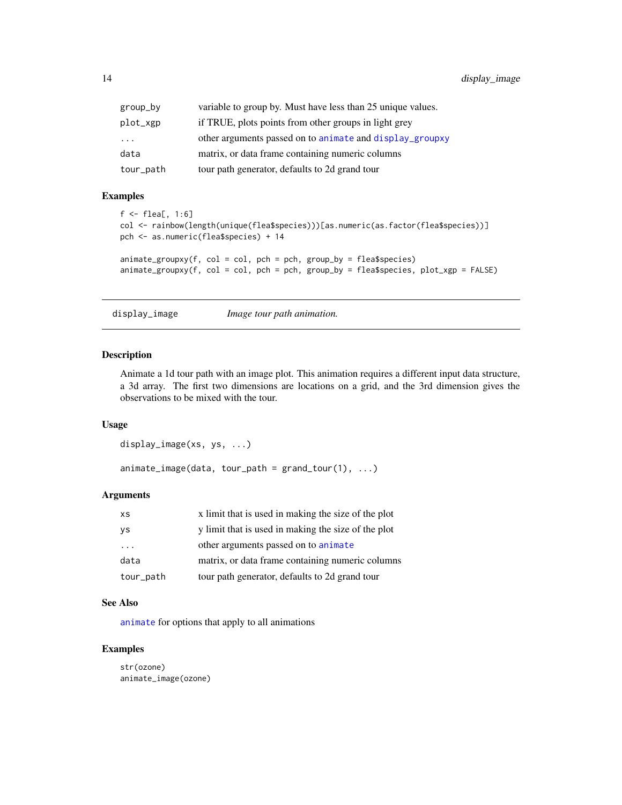<span id="page-13-0"></span>

| group_by  | variable to group by. Must have less than 25 unique values. |
|-----------|-------------------------------------------------------------|
| plot_xgp  | if TRUE, plots points from other groups in light grey       |
| $\cdots$  | other arguments passed on to animate and display_groupxy    |
| data      | matrix, or data frame containing numeric columns            |
| tour_path | tour path generator, defaults to 2d grand tour              |

## Examples

```
f \leftarrow flea[, 1:6]
col <- rainbow(length(unique(flea$species)))[as.numeric(as.factor(flea$species))]
pch <- as.numeric(flea$species) + 14
animate\_groupxy(f, col = col, pch = pch, group_by = flea$species)\text{animate\_group}(f, \text{col} = \text{col}, \text{pch} = \text{pch}, \text{group\_by} = \text{flea$Species}, \text{plot\_xgp} = \text{FALSE})
```
display\_image *Image tour path animation.*

## Description

Animate a 1d tour path with an image plot. This animation requires a different input data structure, a 3d array. The first two dimensions are locations on a grid, and the 3rd dimension gives the observations to be mixed with the tour.

## Usage

```
display_image(xs, ys, ...)
```
 $animate\_image(data, tour\_path = grand\_tour(1), ...)$ 

## Arguments

| <b>XS</b>               | x limit that is used in making the size of the plot |
|-------------------------|-----------------------------------------------------|
| ys                      | y limit that is used in making the size of the plot |
| $\cdot$ $\cdot$ $\cdot$ | other arguments passed on to animate                |
| data                    | matrix, or data frame containing numeric columns    |
| tour_path               | tour path generator, defaults to 2d grand tour      |

#### See Also

[animate](#page-4-1) for options that apply to all animations

## Examples

str(ozone) animate\_image(ozone)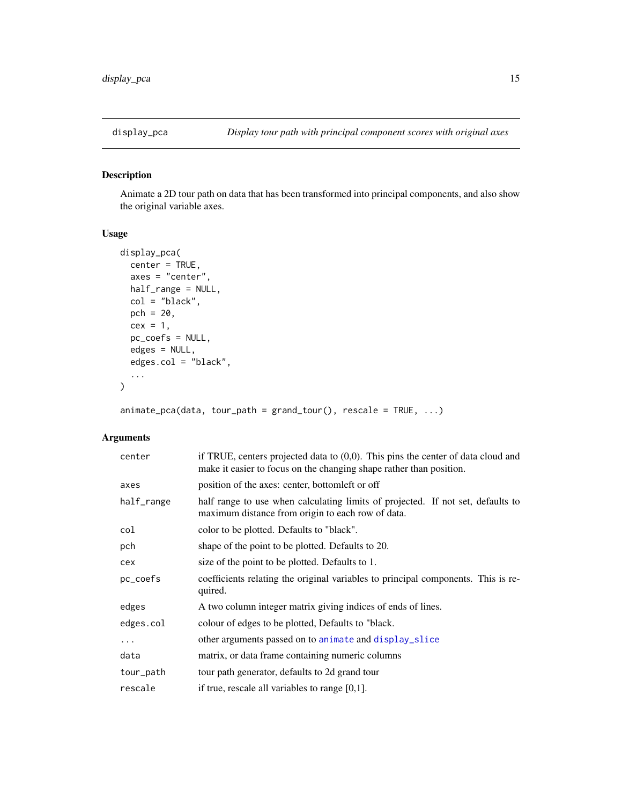<span id="page-14-0"></span>

Animate a 2D tour path on data that has been transformed into principal components, and also show the original variable axes.

## Usage

```
display_pca(
  center = TRUE,
  axes = "center",
 half_range = NULL,
 col = "black",
 pch = 20,
 cex = 1,
 pc_coefs = NULL,
 edges = NULL,
  edges.col = "black",
  ...
)
```
 $animate_pca(data, tour_path = grand_tour(), rescale = TRUE, ...)$ 

| center     | if TRUE, centers projected data to $(0,0)$ . This pins the center of data cloud and<br>make it easier to focus on the changing shape rather than position. |
|------------|------------------------------------------------------------------------------------------------------------------------------------------------------------|
| axes       | position of the axes: center, bottom left or off                                                                                                           |
| half_range | half range to use when calculating limits of projected. If not set, defaults to<br>maximum distance from origin to each row of data.                       |
| col        | color to be plotted. Defaults to "black".                                                                                                                  |
| pch        | shape of the point to be plotted. Defaults to 20.                                                                                                          |
| cex        | size of the point to be plotted. Defaults to 1.                                                                                                            |
| pc_coefs   | coefficients relating the original variables to principal components. This is re-<br>quired.                                                               |
| edges      | A two column integer matrix giving indices of ends of lines.                                                                                               |
| edges.col  | colour of edges to be plotted, Defaults to "black.                                                                                                         |
| .          | other arguments passed on to animate and display_slice                                                                                                     |
| data       | matrix, or data frame containing numeric columns                                                                                                           |
| tour_path  | tour path generator, defaults to 2d grand tour                                                                                                             |
| rescale    | if true, rescale all variables to range $[0,1]$ .                                                                                                          |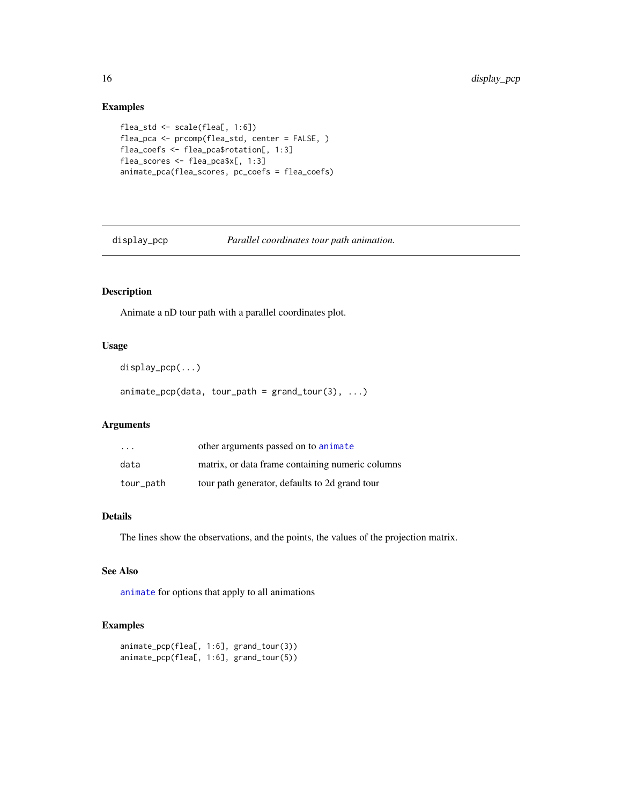## Examples

```
flea_std <- scale(flea[, 1:6])
flea_pca <- prcomp(flea_std, center = FALSE, )
flea_coefs <- flea_pca$rotation[, 1:3]
flea_scores <- flea_pca$x[, 1:3]
animate_pca(flea_scores, pc_coefs = flea_coefs)
```
<span id="page-15-1"></span>display\_pcp *Parallel coordinates tour path animation.*

## Description

Animate a nD tour path with a parallel coordinates plot.

## Usage

display\_pcp(...)

 $animate\_pcp(data, tour\_path = grand\_tour(3), ...)$ 

## Arguments

| $\cdot$ $\cdot$ $\cdot$ | other arguments passed on to animate             |
|-------------------------|--------------------------------------------------|
| data                    | matrix, or data frame containing numeric columns |
| tour_path               | tour path generator, defaults to 2d grand tour   |

## Details

The lines show the observations, and the points, the values of the projection matrix.

#### See Also

[animate](#page-4-1) for options that apply to all animations

## Examples

```
animate_pcp(flea[, 1:6], grand_tour(3))
animate_pcp(flea[, 1:6], grand_tour(5))
```
<span id="page-15-0"></span>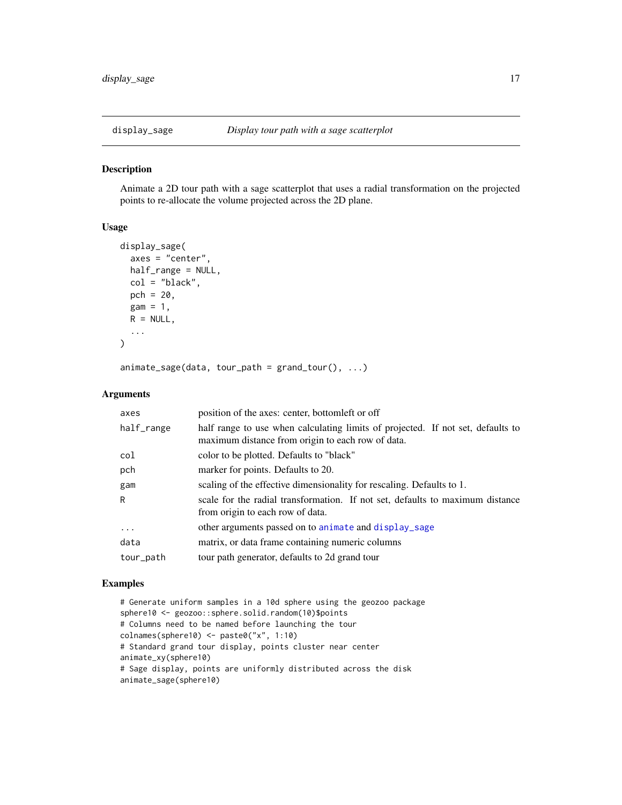<span id="page-16-1"></span><span id="page-16-0"></span>

Animate a 2D tour path with a sage scatterplot that uses a radial transformation on the projected points to re-allocate the volume projected across the 2D plane.

#### Usage

```
display_sage(
  axes = "center",
  half_range = NULL,
  col = "black",pch = 20,
  gam = 1,R = NULL,...
)
```
 $animate\_sage(data, tour\_path = grand\_tour(), ...)$ 

## Arguments

| axes       | position of the axes: center, bottom left or off                                                                                     |
|------------|--------------------------------------------------------------------------------------------------------------------------------------|
| half_range | half range to use when calculating limits of projected. If not set, defaults to<br>maximum distance from origin to each row of data. |
| col        | color to be plotted. Defaults to "black"                                                                                             |
| pch        | marker for points. Defaults to 20.                                                                                                   |
| gam        | scaling of the effective dimensionality for rescaling. Defaults to 1.                                                                |
| R          | scale for the radial transformation. If not set, defaults to maximum distance<br>from origin to each row of data.                    |
| $\cdots$   | other arguments passed on to animate and display_sage                                                                                |
| data       | matrix, or data frame containing numeric columns                                                                                     |
| tour_path  | tour path generator, defaults to 2d grand tour                                                                                       |

#### Examples

```
# Generate uniform samples in a 10d sphere using the geozoo package
sphere10 <- geozoo::sphere.solid.random(10)$points
# Columns need to be named before launching the tour
colnames(sphere10) <- paste0("x", 1:10)
# Standard grand tour display, points cluster near center
animate_xy(sphere10)
# Sage display, points are uniformly distributed across the disk
animate_sage(sphere10)
```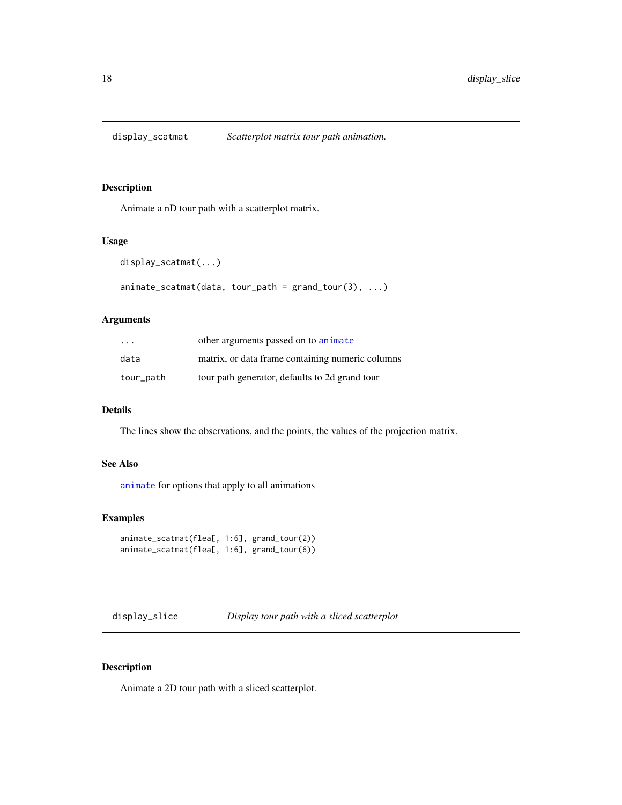<span id="page-17-0"></span>

Animate a nD tour path with a scatterplot matrix.

#### Usage

```
display_scatmat(...)
```

```
animate\_scatmat(data, tour\_path = grand\_tour(3), ...)
```
## Arguments

| $\cdot$ $\cdot$ $\cdot$ | other arguments passed on to animate             |
|-------------------------|--------------------------------------------------|
| data                    | matrix, or data frame containing numeric columns |
| tour_path               | tour path generator, defaults to 2d grand tour   |

## Details

The lines show the observations, and the points, the values of the projection matrix.

## See Also

[animate](#page-4-1) for options that apply to all animations

## Examples

```
animate_scatmat(flea[, 1:6], grand_tour(2))
animate_scatmat(flea[, 1:6], grand_tour(6))
```
<span id="page-17-1"></span>display\_slice *Display tour path with a sliced scatterplot*

## <span id="page-17-2"></span>Description

Animate a 2D tour path with a sliced scatterplot.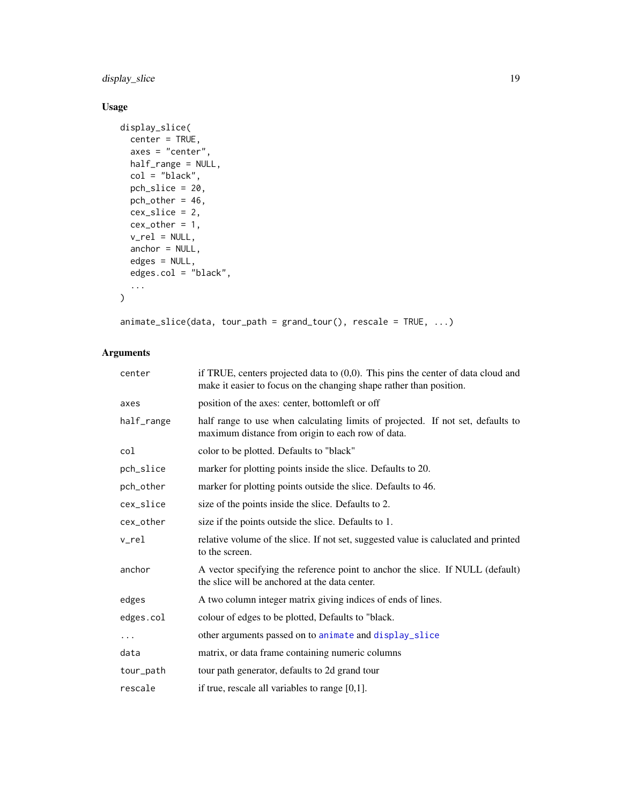<span id="page-18-0"></span>display\_slice 19

## Usage

```
display_slice(
  center = TRUE,
  axes = "center",
  half_range = NULL,
  col = "black",pch_slice = 20,
  pch_other = 46,
  cex_slice = 2,
  cex\_other = 1,
  v_{\text{rel}} = \text{NULL},
  anchor = NULL,
  edges = NULL,
  edges.col = "black",
  ...
\mathcal{L}
```
animate\_slice(data, tour\_path = grand\_tour(), rescale = TRUE, ...)

| center     | if TRUE, centers projected data to $(0,0)$ . This pins the center of data cloud and<br>make it easier to focus on the changing shape rather than position. |  |
|------------|------------------------------------------------------------------------------------------------------------------------------------------------------------|--|
| axes       | position of the axes: center, bottomleft or off                                                                                                            |  |
| half_range | half range to use when calculating limits of projected. If not set, defaults to<br>maximum distance from origin to each row of data.                       |  |
| col        | color to be plotted. Defaults to "black"                                                                                                                   |  |
| pch_slice  | marker for plotting points inside the slice. Defaults to 20.                                                                                               |  |
| pch_other  | marker for plotting points outside the slice. Defaults to 46.                                                                                              |  |
| cex_slice  | size of the points inside the slice. Defaults to 2.                                                                                                        |  |
| cex_other  | size if the points outside the slice. Defaults to 1.                                                                                                       |  |
| v rel      | relative volume of the slice. If not set, suggested value is caluclated and printed<br>to the screen.                                                      |  |
| anchor     | A vector specifying the reference point to anchor the slice. If NULL (default)<br>the slice will be anchored at the data center.                           |  |
| edges      | A two column integer matrix giving indices of ends of lines.                                                                                               |  |
| edges.col  | colour of edges to be plotted, Defaults to "black.                                                                                                         |  |
| .          | other arguments passed on to animate and display_slice                                                                                                     |  |
| data       | matrix, or data frame containing numeric columns                                                                                                           |  |
| tour_path  | tour path generator, defaults to 2d grand tour                                                                                                             |  |
| rescale    | if true, rescale all variables to range $[0,1]$ .                                                                                                          |  |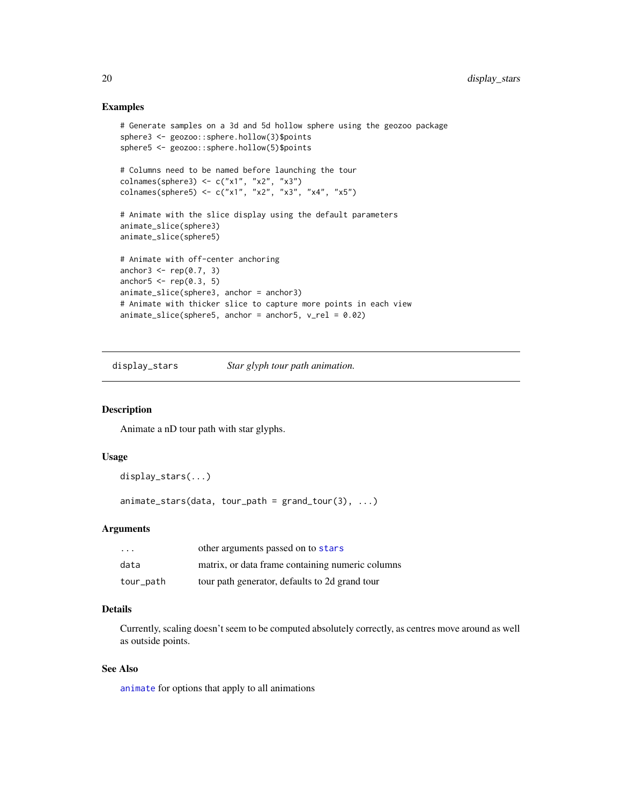#### Examples

```
# Generate samples on a 3d and 5d hollow sphere using the geozoo package
sphere3 <- geozoo::sphere.hollow(3)$points
sphere5 <- geozoo::sphere.hollow(5)$points
# Columns need to be named before launching the tour
colnames(sphere3) <- c("x1", "x2", "x3")
colnames(sphere5) <- c("x1", "x2", "x3", "x4", "x5")
# Animate with the slice display using the default parameters
animate_slice(sphere3)
animate_slice(sphere5)
# Animate with off-center anchoring
anchor3 \leq rep(0.7, 3)
anchor5 \leq rep(0.3, 5)
animate_slice(sphere3, anchor = anchor3)
# Animate with thicker slice to capture more points in each view
animate_slice(sphere5, anchor = anchor5, v_{rel} = 0.02)
```
display\_stars *Star glyph tour path animation.*

#### Description

Animate a nD tour path with star glyphs.

## Usage

```
display_stars(...)
```
 $animate\_stars(data, tour\_path = grand\_tour(3), ...)$ 

## Arguments

| $\cdot$   | other arguments passed on to stars               |
|-----------|--------------------------------------------------|
| data      | matrix, or data frame containing numeric columns |
| tour_path | tour path generator, defaults to 2d grand tour   |

## Details

Currently, scaling doesn't seem to be computed absolutely correctly, as centres move around as well as outside points.

## See Also

[animate](#page-4-1) for options that apply to all animations

<span id="page-19-0"></span>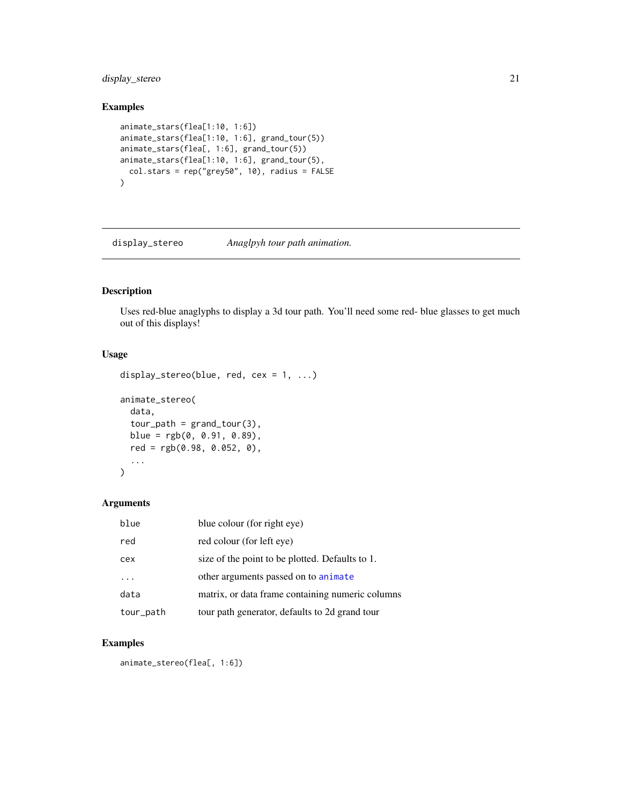## <span id="page-20-0"></span>display\_stereo 21

## Examples

```
animate_stars(flea[1:10, 1:6])
animate_stars(flea[1:10, 1:6], grand_tour(5))
animate_stars(flea[, 1:6], grand_tour(5))
animate_stars(flea[1:10, 1:6], grand_tour(5),
  col.stars = rep("grey50", 10), radius = FALSE
)
```
display\_stereo *Anaglpyh tour path animation.*

## Description

Uses red-blue anaglyphs to display a 3d tour path. You'll need some red- blue glasses to get much out of this displays!

## Usage

```
display_stereo(blue, red, cex = 1, ...)
animate_stereo(
 data,
  tour\_path = grand\_tour(3),
 blue = rgb(0, 0.91, 0.89),
 red = rgb(0.98, 0.052, 0),
  ...
)
```
## Arguments

| blue      | blue colour (for right eye)                      |
|-----------|--------------------------------------------------|
| red       | red colour (for left eye)                        |
| cex       | size of the point to be plotted. Defaults to 1.  |
| .         | other arguments passed on to animate             |
| data      | matrix, or data frame containing numeric columns |
| tour_path | tour path generator, defaults to 2d grand tour   |

## Examples

animate\_stereo(flea[, 1:6])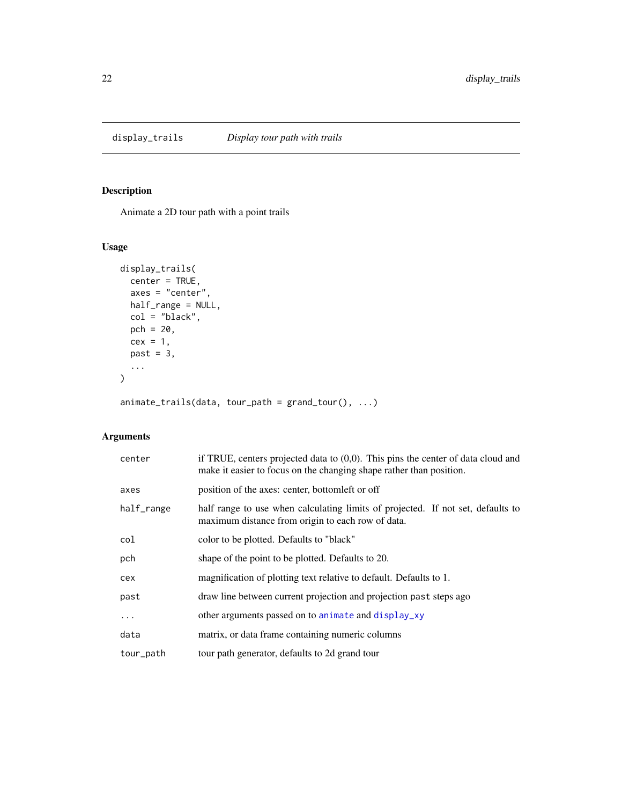<span id="page-21-0"></span>

Animate a 2D tour path with a point trails

## Usage

```
display_trails(
  center = TRUE,
  axes = "center",
  half_range = NULL,
  col = "black",
  pch = 20,
  cex = 1,
  past = 3,...
\mathcal{L}
```
animate\_trails(data, tour\_path = grand\_tour(), ...)

| center     | if TRUE, centers projected data to $(0,0)$ . This pins the center of data cloud and<br>make it easier to focus on the changing shape rather than position. |
|------------|------------------------------------------------------------------------------------------------------------------------------------------------------------|
| axes       | position of the axes: center, bottometh or off                                                                                                             |
| half_range | half range to use when calculating limits of projected. If not set, defaults to<br>maximum distance from origin to each row of data.                       |
| col        | color to be plotted. Defaults to "black"                                                                                                                   |
| pch        | shape of the point to be plotted. Defaults to 20.                                                                                                          |
| cex        | magnification of plotting text relative to default. Defaults to 1.                                                                                         |
| past       | draw line between current projection and projection past steps ago                                                                                         |
| .          | other arguments passed on to animate and display_xy                                                                                                        |
| data       | matrix, or data frame containing numeric columns                                                                                                           |
| tour_path  | tour path generator, defaults to 2d grand tour                                                                                                             |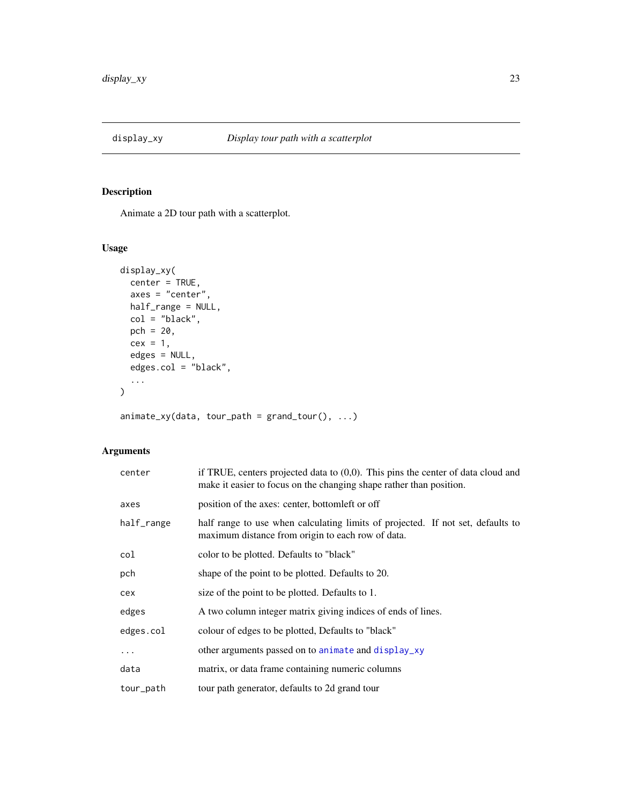<span id="page-22-1"></span><span id="page-22-0"></span>

Animate a 2D tour path with a scatterplot.

## Usage

```
display_xy(
 center = TRUE,
 axes = "center",
 half_range = NULL,
 col = "black",pch = 20,
 cex = 1,
 edges = NULL,
 edges.col = "black",
  ...
)
```
 $animate_xy(data, tour_path = grand_tour(), ...)$ 

| center     | if TRUE, centers projected data to $(0,0)$ . This pins the center of data cloud and<br>make it easier to focus on the changing shape rather than position. |  |
|------------|------------------------------------------------------------------------------------------------------------------------------------------------------------|--|
| axes       | position of the axes: center, bottometh or off                                                                                                             |  |
| half_range | half range to use when calculating limits of projected. If not set, defaults to<br>maximum distance from origin to each row of data.                       |  |
| col        | color to be plotted. Defaults to "black"                                                                                                                   |  |
| pch        | shape of the point to be plotted. Defaults to 20.                                                                                                          |  |
| cex        | size of the point to be plotted. Defaults to 1.                                                                                                            |  |
| edges      | A two column integer matrix giving indices of ends of lines.                                                                                               |  |
| edges.col  | colour of edges to be plotted, Defaults to "black"                                                                                                         |  |
| $\cdots$   | other arguments passed on to animate and display_xy                                                                                                        |  |
| data       | matrix, or data frame containing numeric columns                                                                                                           |  |
| tour_path  | tour path generator, defaults to 2d grand tour                                                                                                             |  |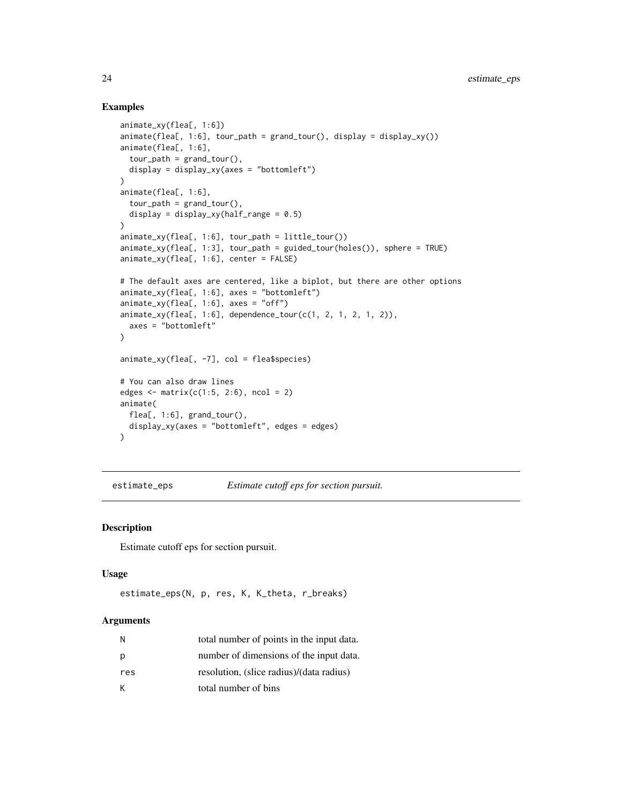## Examples

```
animate_xy(flea[, 1:6])
\text{animate}(\text{flea}, 1:6], \text{tour}\_\text{path} = \text{grand}\_\text{tour}(), \text{ display} = \text{display}(\text{y}),animate(flea[, 1:6],
  tour\_path = grand\_tour(),display = display_xy(axes = "bottomleft")
\mathcal{L}animate(flea[, 1:6],
  tour<sub>-path</sub> = grand<sub>-tour</sub>(),
  display = display_xy(half_range = 0.5)
)
animate_xy(flea[, 1:6], tour_path = little_tour())
animate_xy(flea[, 1:3], tour_path = guided_tour(holes()), sphere = TRUE)
animate_xy(flea[, 1:6], center = FALSE)
# The default axes are centered, like a biplot, but there are other options
animate_xy(flea[, 1:6], axes = "bottomleft")animate_xy(flea[, 1:6], axes = "off")\text{animate\_xy}(\text{flea}, 1:6], \text{ dependence\_tour}(c(1, 2, 1, 2, 1, 2)),axes = "bottomleft"
)
animate_xy(flea[, -7], col = flea$species)
# You can also draw lines
edges \leq matrix(c(1:5, 2:6), ncol = 2)
animate(
  flea[, 1:6], grand_tour(),
  display_xy(axes = "bottomleft", edges = edges)
)
```
<span id="page-23-1"></span>estimate\_eps *Estimate cutoff eps for section pursuit.*

#### Description

Estimate cutoff eps for section pursuit.

#### Usage

```
estimate_eps(N, p, res, K, K_theta, r_breaks)
```

| N   | total number of points in the input data. |
|-----|-------------------------------------------|
| р   | number of dimensions of the input data.   |
| res | resolution, (slice radius)/(data radius)  |
| К   | total number of bins                      |

<span id="page-23-0"></span>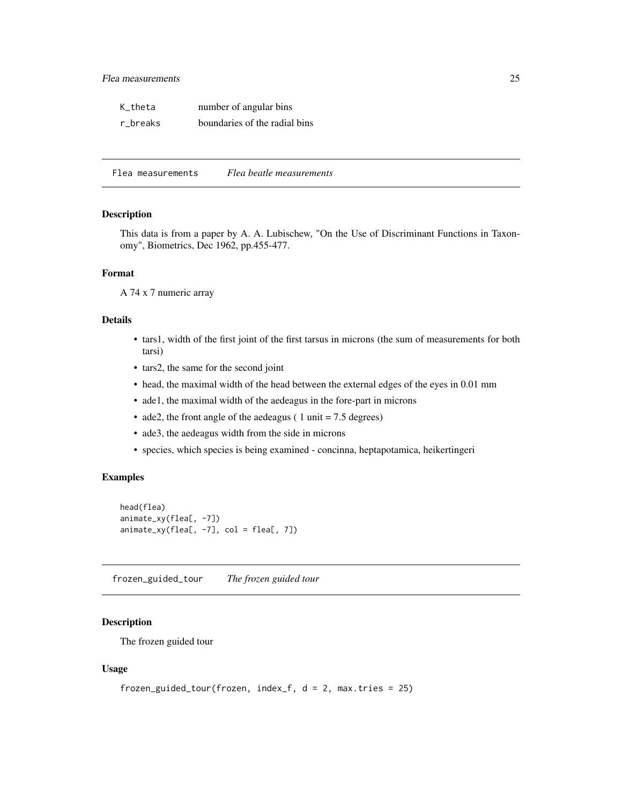<span id="page-24-0"></span>

| K theta  | number of angular bins        |
|----------|-------------------------------|
| r_breaks | boundaries of the radial bins |

Flea measurements *Flea beatle measurements*

#### Description

This data is from a paper by A. A. Lubischew, "On the Use of Discriminant Functions in Taxonomy", Biometrics, Dec 1962, pp.455-477.

#### Format

A 74 x 7 numeric array

## Details

- tars1, width of the first joint of the first tarsus in microns (the sum of measurements for both tarsi)
- tars2, the same for the second joint
- head, the maximal width of the head between the external edges of the eyes in 0.01 mm
- ade1, the maximal width of the aedeagus in the fore-part in microns
- ade2, the front angle of the aedeagus ( 1 unit  $= 7.5$  degrees)
- ade3, the aedeagus width from the side in microns
- species, which species is being examined concinna, heptapotamica, heikertingeri

#### Examples

```
head(flea)
animate_xy(flea[, -7])
animate_xy(flea[, -7], col = flea[, 7])
```
<span id="page-24-1"></span>frozen\_guided\_tour *The frozen guided tour*

#### Description

The frozen guided tour

#### Usage

```
frozen_guided_tour(frozen, index_f, d = 2, max.tries = 25)
```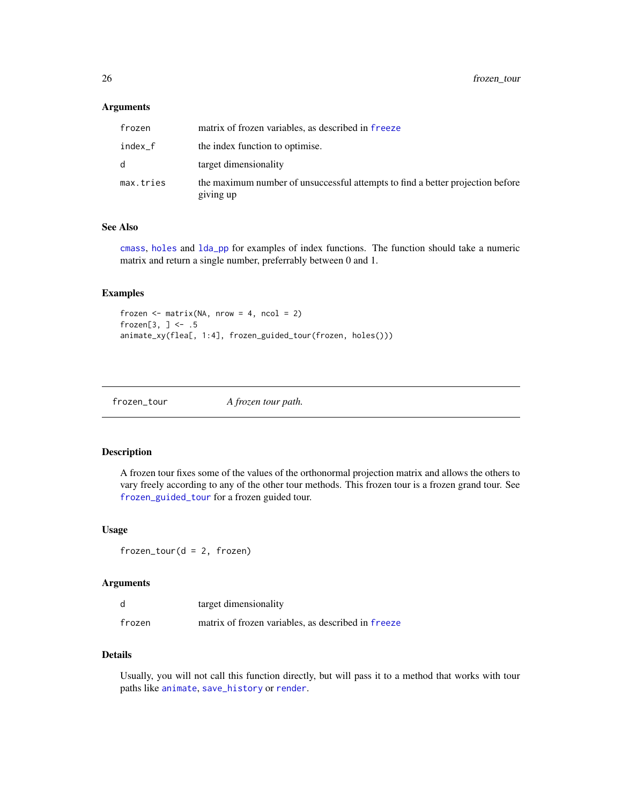<span id="page-25-0"></span>26 frozen\_tour

#### **Arguments**

| frozen    | matrix of frozen variables, as described in freeze                                          |
|-----------|---------------------------------------------------------------------------------------------|
| index_f   | the index function to optimise.                                                             |
| d         | target dimensionality                                                                       |
| max.tries | the maximum number of unsuccessful attempts to find a better projection before<br>giving up |

#### See Also

[cmass](#page-6-1), [holes](#page-30-1) and [lda\\_pp](#page-32-1) for examples of index functions. The function should take a numeric matrix and return a single number, preferrably between 0 and 1.

## Examples

```
frozen \leq matrix(NA, nrow = 4, ncol = 2)
frozen[3, ] <- .5
animate_xy(flea[, 1:4], frozen_guided_tour(frozen, holes()))
```
frozen\_tour *A frozen tour path.*

## Description

A frozen tour fixes some of the values of the orthonormal projection matrix and allows the others to vary freely according to any of the other tour methods. This frozen tour is a frozen grand tour. See [frozen\\_guided\\_tour](#page-24-1) for a frozen guided tour.

#### Usage

frozen\_tour(d = 2, frozen)

## Arguments

| d      | target dimensionality                              |
|--------|----------------------------------------------------|
| frozen | matrix of frozen variables, as described in freeze |

## Details

Usually, you will not call this function directly, but will pass it to a method that works with tour paths like [animate](#page-4-1), [save\\_history](#page-46-1) or [render](#page-43-1).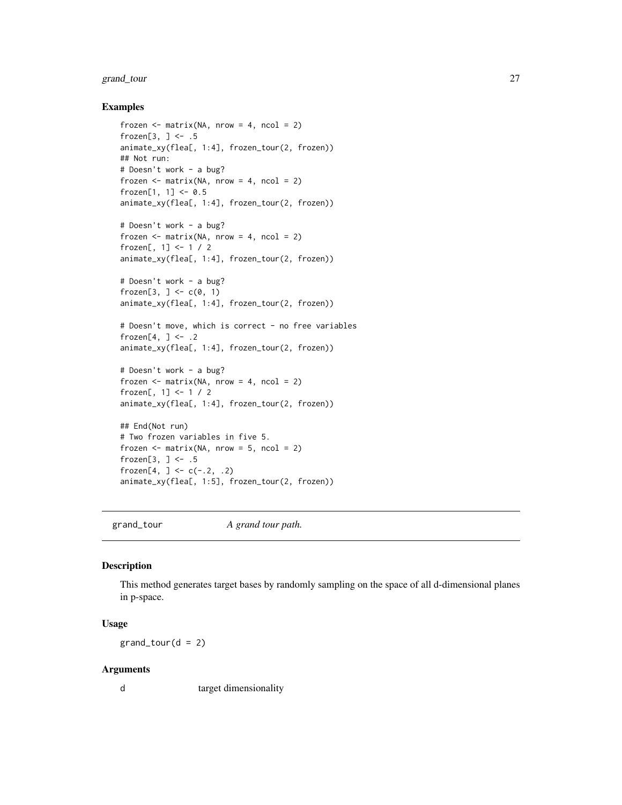## <span id="page-26-0"></span>grand\_tour 27

#### Examples

```
frozen \leq matrix(NA, nrow = 4, ncol = 2)
frozen[3, \sim - .5
animate_xy(flea[, 1:4], frozen_tour(2, frozen))
## Not run:
# Doesn't work - a bug?
frozen \leq matrix(NA, nrow = 4, ncol = 2)
frozen[1, 1] <- 0.5
animate_xy(flea[, 1:4], frozen_tour(2, frozen))
# Doesn't work - a bug?
frozen \leq matrix(NA, nrow = 4, ncol = 2)
frozen[, 1] <- 1 / 2
animate_xy(flea[, 1:4], frozen_tour(2, frozen))
# Doesn't work - a bug?
frozen[3, ] <- c(0, 1)
animate_xy(flea[, 1:4], frozen_tour(2, frozen))
# Doesn't move, which is correct - no free variables
frozen[4, ] \leftarrow .2animate_xy(flea[, 1:4], frozen_tour(2, frozen))
# Doesn't work - a bug?
frozen \leq matrix(NA, nrow = 4, ncol = 2)
frozen[, 1] <- 1 / 2
animate_xy(flea[, 1:4], frozen_tour(2, frozen))
## End(Not run)
# Two frozen variables in five 5.
frozen \leq matrix(NA, nrow = 5, ncol = 2)
frozen[3, ] <- .5
frozen[4, ] <- c(-.2, .2)
animate_xy(flea[, 1:5], frozen_tour(2, frozen))
```
grand\_tour *A grand tour path.*

## Description

This method generates target bases by randomly sampling on the space of all d-dimensional planes in p-space.

## Usage

 $grand\_tour(d = 2)$ 

#### Arguments

d target dimensionality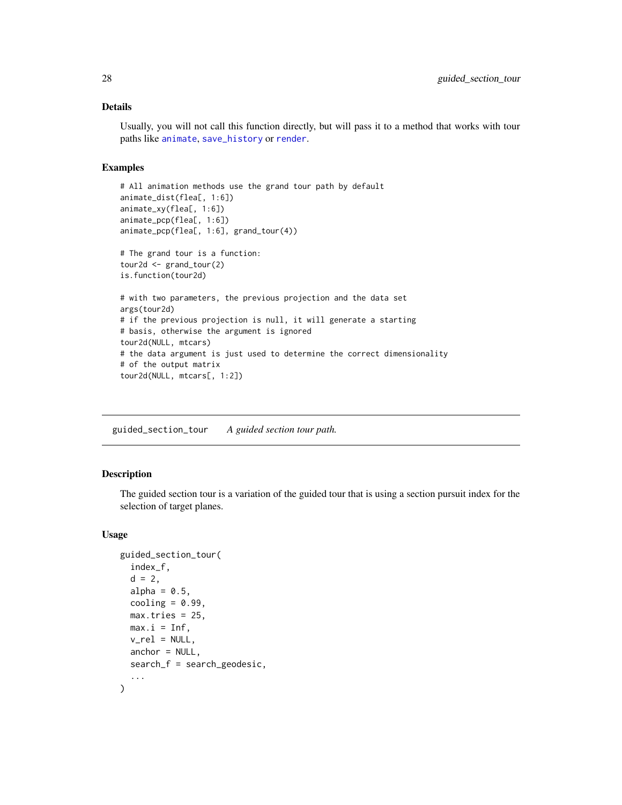## <span id="page-27-0"></span>Details

Usually, you will not call this function directly, but will pass it to a method that works with tour paths like [animate](#page-4-1), [save\\_history](#page-46-1) or [render](#page-43-1).

## Examples

```
# All animation methods use the grand tour path by default
animate_dist(flea[, 1:6])
animate_xy(flea[, 1:6])
animate_pcp(flea[, 1:6])
animate_pcp(flea[, 1:6], grand_tour(4))
# The grand tour is a function:
tour2d <- grand_tour(2)
is.function(tour2d)
# with two parameters, the previous projection and the data set
args(tour2d)
# if the previous projection is null, it will generate a starting
# basis, otherwise the argument is ignored
tour2d(NULL, mtcars)
# the data argument is just used to determine the correct dimensionality
# of the output matrix
tour2d(NULL, mtcars[, 1:2])
```
guided\_section\_tour *A guided section tour path.*

#### Description

The guided section tour is a variation of the guided tour that is using a section pursuit index for the selection of target planes.

#### Usage

```
guided_section_tour(
  index_f,
  d = 2,
  alpha = 0.5,
  cooling = 0.99,
 max.tries = 25,
 max.i = Inf,v_{\text{rel}} = NULL,
  anchor = NULL,
  search_f = search_geodesic,
  ...
)
```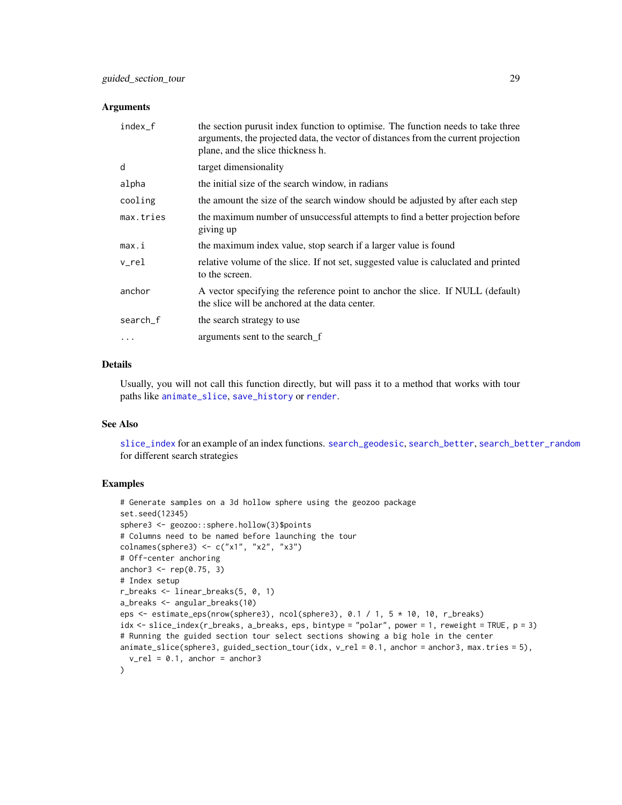#### <span id="page-28-0"></span>**Arguments**

| index_f   | the section purusit index function to optimise. The function needs to take three<br>arguments, the projected data, the vector of distances from the current projection<br>plane, and the slice thickness h. |
|-----------|-------------------------------------------------------------------------------------------------------------------------------------------------------------------------------------------------------------|
| d         | target dimensionality                                                                                                                                                                                       |
| alpha     | the initial size of the search window, in radians                                                                                                                                                           |
| cooling   | the amount the size of the search window should be adjusted by after each step                                                                                                                              |
| max.tries | the maximum number of unsuccessful attempts to find a better projection before<br>giving up                                                                                                                 |
| max.i     | the maximum index value, stop search if a larger value is found                                                                                                                                             |
| v_rel     | relative volume of the slice. If not set, suggested value is caluclated and printed<br>to the screen.                                                                                                       |
| anchor    | A vector specifying the reference point to anchor the slice. If NULL (default)<br>the slice will be anchored at the data center.                                                                            |
| search_f  | the search strategy to use                                                                                                                                                                                  |
|           | arguments sent to the search f                                                                                                                                                                              |
|           |                                                                                                                                                                                                             |

#### Details

Usually, you will not call this function directly, but will pass it to a method that works with tour paths like [animate\\_slice](#page-17-2), [save\\_history](#page-46-1) or [render](#page-43-1).

#### See Also

[slice\\_index](#page-52-1) for an example of an index functions. [search\\_geodesic](#page-49-1), [search\\_better](#page-47-1), [search\\_better\\_random](#page-48-1) for different search strategies

#### Examples

```
# Generate samples on a 3d hollow sphere using the geozoo package
set.seed(12345)
sphere3 <- geozoo::sphere.hollow(3)$points
# Columns need to be named before launching the tour
colnames(sphere3) <- c("x1", "x2", "x3")
# Off-center anchoring
anchor3 <- rep(0.75, 3)
# Index setup
r_breaks <- linear_breaks(5, 0, 1)
a_breaks <- angular_breaks(10)
eps <- estimate_eps(nrow(sphere3), ncol(sphere3), 0.1 / 1, 5 * 10, 10, r_breaks)
idx <- slice_index(r_breaks, a_breaks, eps, bintype = "polar", power = 1, reweight = TRUE, p = 3)
# Running the guided section tour select sections showing a big hole in the center
animate_slice(sphere3, guided_section_tour(idx, v_rel = 0.1, anchor = anchor3, max.tries = 5),
  v_{\text{rel}} = 0.1, anchor = anchor3
\lambda
```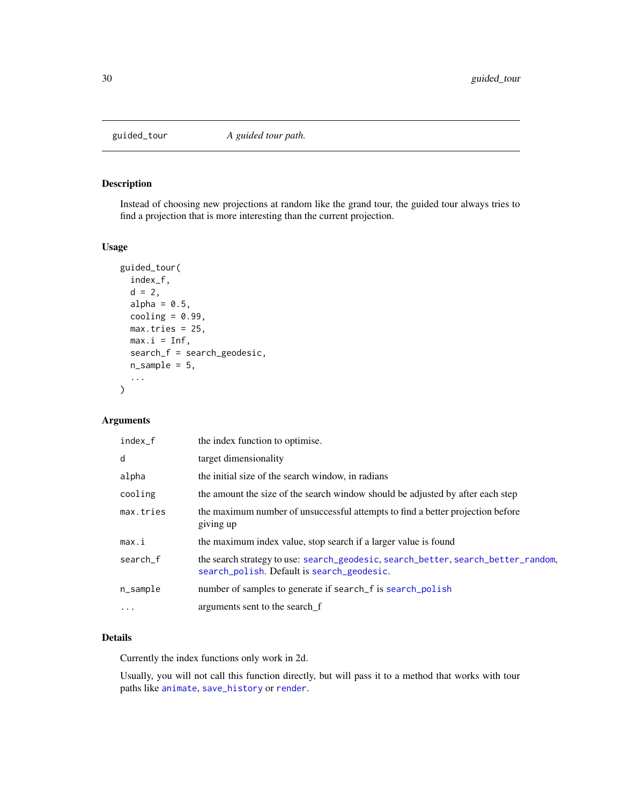<span id="page-29-1"></span><span id="page-29-0"></span>

Instead of choosing new projections at random like the grand tour, the guided tour always tries to find a projection that is more interesting than the current projection.

#### Usage

```
guided_tour(
 index_f,
 d = 2,alpha = 0.5,
 cooling = 0.99,
 max.tries = 25,max.i = Inf,search_f = search_geodesic,
 n_sample = 5,
  ...
)
```
## Arguments

| index_f    | the index function to optimise.                                                                                                 |
|------------|---------------------------------------------------------------------------------------------------------------------------------|
| d          | target dimensionality                                                                                                           |
| alpha      | the initial size of the search window, in radians                                                                               |
| cooling    | the amount the size of the search window should be adjusted by after each step                                                  |
| max.tries  | the maximum number of unsuccessful attempts to find a better projection before<br>giving up                                     |
| max.i      | the maximum index value, stop search if a larger value is found                                                                 |
| search_f   | the search strategy to use: search_geodesic, search_better, search_better_random,<br>search_polish. Default is search_geodesic. |
| n_sample   | number of samples to generate if search f is search polish                                                                      |
| $\ddots$ . | arguments sent to the search f                                                                                                  |

## Details

Currently the index functions only work in 2d.

Usually, you will not call this function directly, but will pass it to a method that works with tour paths like [animate](#page-4-1), [save\\_history](#page-46-1) or [render](#page-43-1).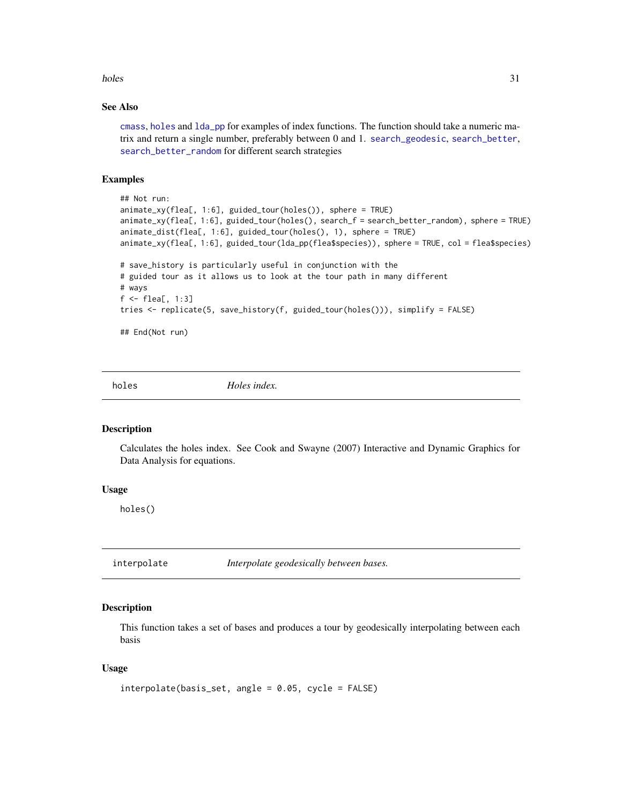#### <span id="page-30-0"></span>holes 31

## See Also

[cmass](#page-6-1), [holes](#page-30-1) and [lda\\_pp](#page-32-1) for examples of index functions. The function should take a numeric matrix and return a single number, preferably between 0 and 1. [search\\_geodesic](#page-49-1), [search\\_better](#page-47-1), [search\\_better\\_random](#page-48-1) for different search strategies

#### Examples

```
## Not run:
animate_xy(flea[, 1:6], guided_tour(holes()), sphere = TRUE)
animate_xy(flea[, 1:6], guided_tour(holes(), search_f = search_better_random), sphere = TRUE)
animate_dist(flea[, 1:6], guided_tour(holes(), 1), sphere = TRUE)
animate_xy(flea[, 1:6], guided_tour(lda_pp(flea$species)), sphere = TRUE, col = flea$species)
# save_history is particularly useful in conjunction with the
# guided tour as it allows us to look at the tour path in many different
# ways
f <- flea[, 1:3]
tries <- replicate(5, save_history(f, guided_tour(holes())), simplify = FALSE)
## End(Not run)
```
<span id="page-30-1"></span>

holes *Holes index.*

#### Description

Calculates the holes index. See Cook and Swayne (2007) Interactive and Dynamic Graphics for Data Analysis for equations.

#### Usage

holes()

interpolate *Interpolate geodesically between bases.*

#### Description

This function takes a set of bases and produces a tour by geodesically interpolating between each basis

#### Usage

```
interpolate(basis_set, angle = 0.05, cycle = FALSE)
```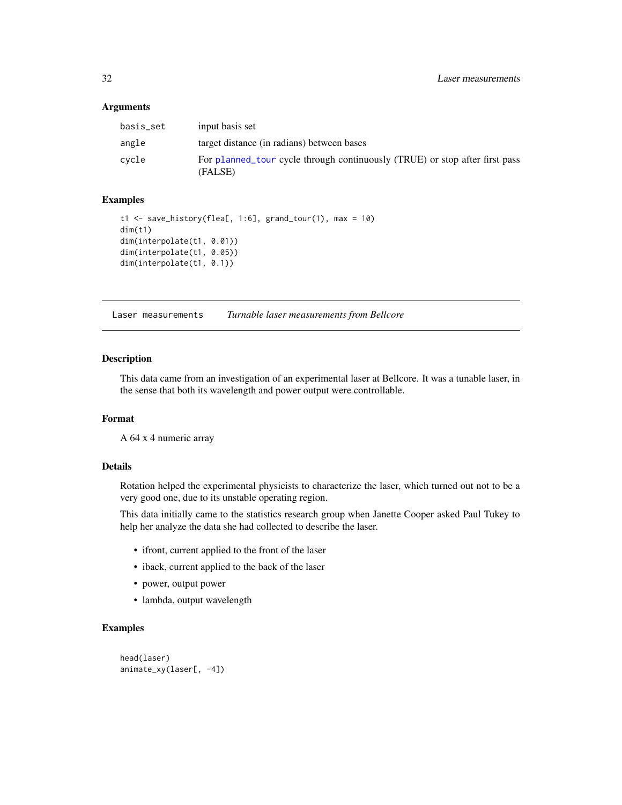#### <span id="page-31-0"></span>**Arguments**

| basis_set | input basis set                                                                        |
|-----------|----------------------------------------------------------------------------------------|
| angle     | target distance (in radians) between bases                                             |
| cycle     | For planned tour cycle through continuously (TRUE) or stop after first pass<br>(FALSE) |

## Examples

```
t1 <- save_history(flea[, 1:6], grand_tour(1), max = 10)
dim(t1)
dim(interpolate(t1, 0.01))
dim(interpolate(t1, 0.05))
dim(interpolate(t1, 0.1))
```
Laser measurements *Turnable laser measurements from Bellcore*

#### Description

This data came from an investigation of an experimental laser at Bellcore. It was a tunable laser, in the sense that both its wavelength and power output were controllable.

#### Format

A 64 x 4 numeric array

#### Details

Rotation helped the experimental physicists to characterize the laser, which turned out not to be a very good one, due to its unstable operating region.

This data initially came to the statistics research group when Janette Cooper asked Paul Tukey to help her analyze the data she had collected to describe the laser.

- ifront, current applied to the front of the laser
- iback, current applied to the back of the laser
- power, output power
- lambda, output wavelength

#### Examples

```
head(laser)
animate_xy(laser[, -4])
```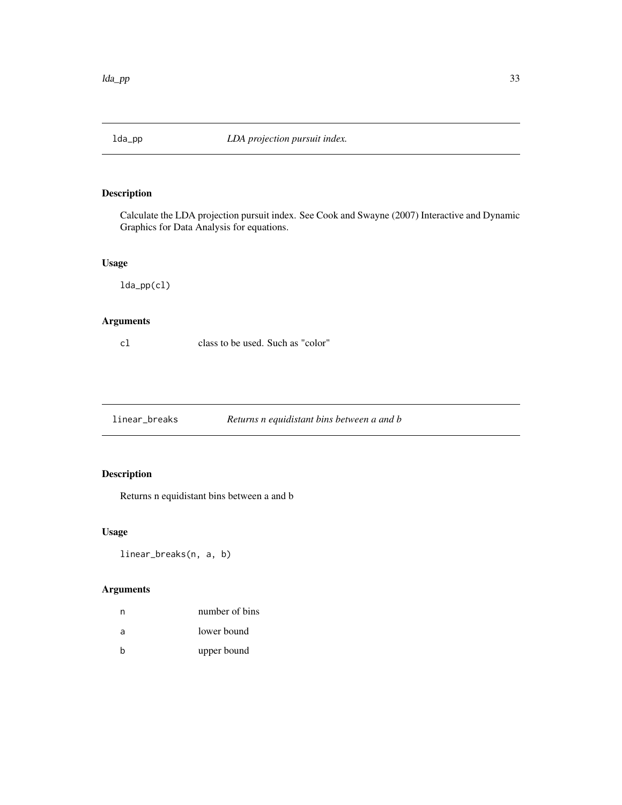<span id="page-32-1"></span><span id="page-32-0"></span>

Calculate the LDA projection pursuit index. See Cook and Swayne (2007) Interactive and Dynamic Graphics for Data Analysis for equations.

## Usage

lda\_pp(cl)

## Arguments

cl class to be used. Such as "color"

linear\_breaks *Returns n equidistant bins between a and b*

## Description

Returns n equidistant bins between a and b

## Usage

linear\_breaks(n, a, b)

| n | number of bins |
|---|----------------|
| a | lower bound    |
| h | upper bound    |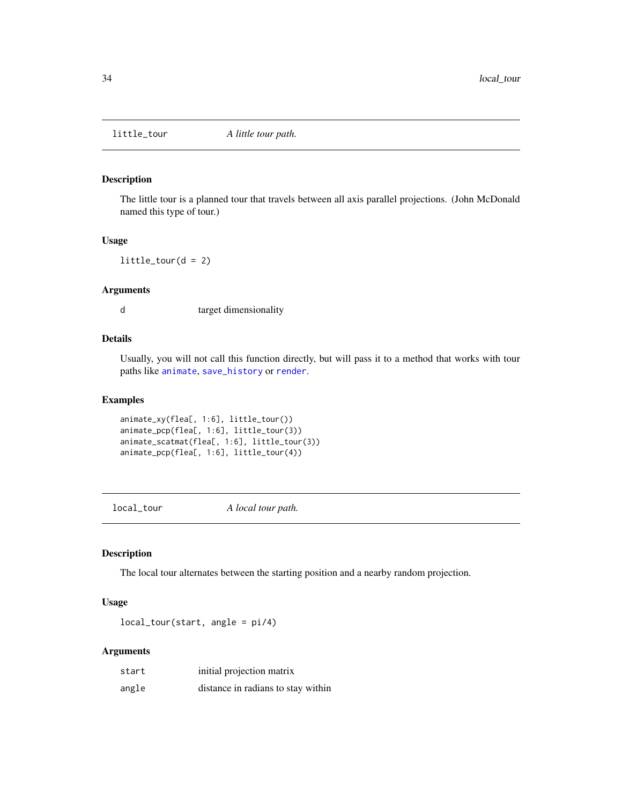<span id="page-33-1"></span><span id="page-33-0"></span>

The little tour is a planned tour that travels between all axis parallel projections. (John McDonald named this type of tour.)

## Usage

 $little\_tour(d = 2)$ 

## Arguments

d target dimensionality

## Details

Usually, you will not call this function directly, but will pass it to a method that works with tour paths like [animate](#page-4-1), [save\\_history](#page-46-1) or [render](#page-43-1).

#### Examples

```
animate_xy(flea[, 1:6], little_tour())
animate_pcp(flea[, 1:6], little_tour(3))
animate_scatmat(flea[, 1:6], little_tour(3))
animate_pcp(flea[, 1:6], little_tour(4))
```
local\_tour *A local tour path.*

## Description

The local tour alternates between the starting position and a nearby random projection.

#### Usage

local\_tour(start, angle = pi/4)

| start | initial projection matrix          |
|-------|------------------------------------|
| angle | distance in radians to stay within |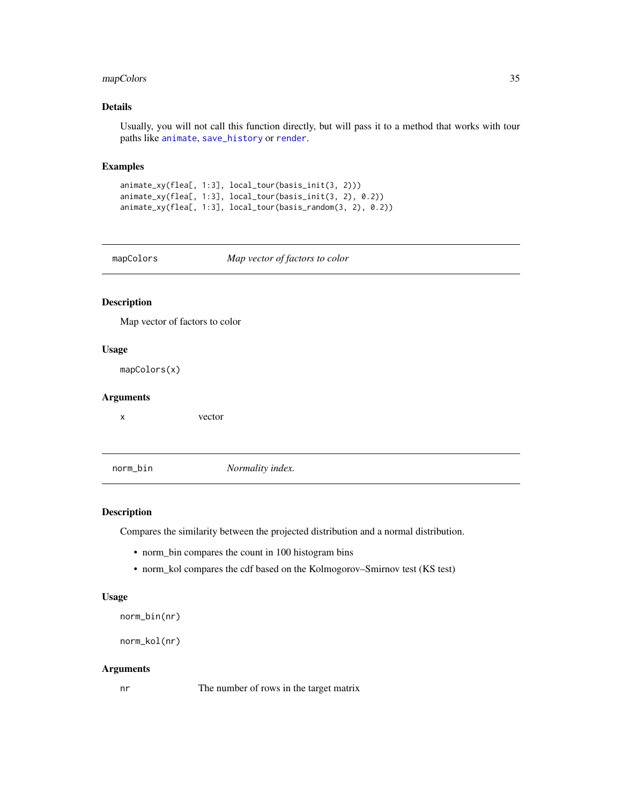## <span id="page-34-0"></span>mapColors 35

## Details

Usually, you will not call this function directly, but will pass it to a method that works with tour paths like [animate](#page-4-1), [save\\_history](#page-46-1) or [render](#page-43-1).

#### Examples

```
animate_xy(flea[, 1:3], local_tour(basis_init(3, 2)))
animate_xy(flea[, 1:3], local_tour(basis_init(3, 2), 0.2))
animate_xy(flea[, 1:3], local_tour(basis_random(3, 2), 0.2))
```
mapColors *Map vector of factors to color*

## Description

Map vector of factors to color

#### Usage

mapColors(x)

## Arguments

x vector

norm\_bin *Normality index.*

#### Description

Compares the similarity between the projected distribution and a normal distribution.

- norm\_bin compares the count in 100 histogram bins
- norm\_kol compares the cdf based on the Kolmogorov–Smirnov test (KS test)

#### Usage

```
norm_bin(nr)
```

```
norm_kol(nr)
```
#### Arguments

nr The number of rows in the target matrix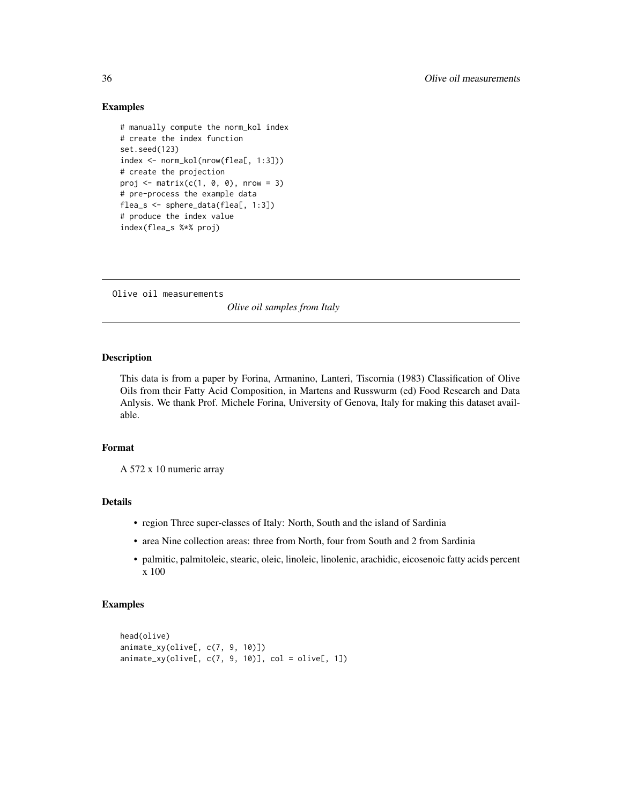## Examples

```
# manually compute the norm_kol index
# create the index function
set.seed(123)
index <- norm_kol(nrow(flea[, 1:3]))
# create the projection
proj \leq matrix(c(1, 0, 0), nrow = 3)
# pre-process the example data
flea_s <- sphere_data(flea[, 1:3])
# produce the index value
index(flea_s %*% proj)
```
Olive oil measurements

*Olive oil samples from Italy*

## Description

This data is from a paper by Forina, Armanino, Lanteri, Tiscornia (1983) Classification of Olive Oils from their Fatty Acid Composition, in Martens and Russwurm (ed) Food Research and Data Anlysis. We thank Prof. Michele Forina, University of Genova, Italy for making this dataset available.

#### Format

A 572 x 10 numeric array

## Details

- region Three super-classes of Italy: North, South and the island of Sardinia
- area Nine collection areas: three from North, four from South and 2 from Sardinia
- palmitic, palmitoleic, stearic, oleic, linoleic, linolenic, arachidic, eicosenoic fatty acids percent x 100

## Examples

```
head(olive)
animate_xy(olive[, c(7, 9, 10)])
\text{animate\_xy}(\text{olive}[, c(7, 9, 10)], col = \text{olive}[, 1])
```
<span id="page-35-0"></span>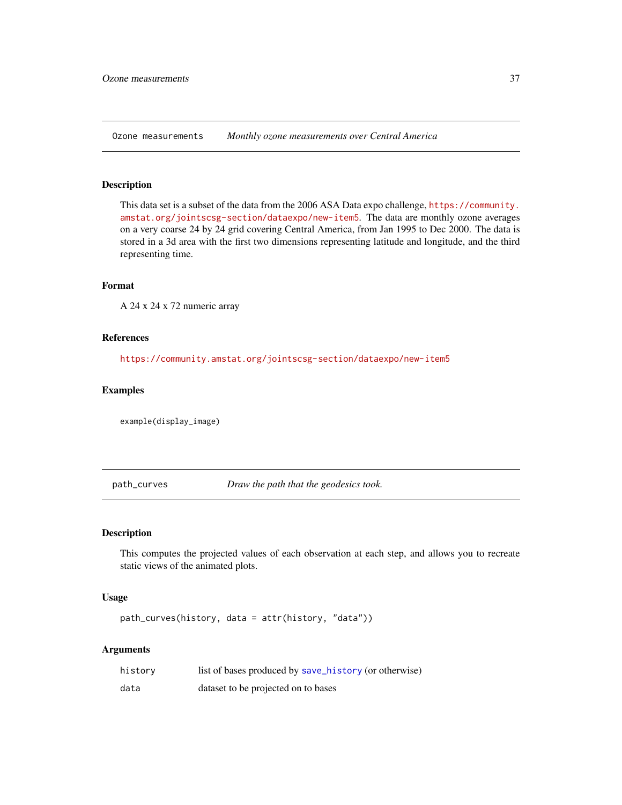<span id="page-36-0"></span>Ozone measurements *Monthly ozone measurements over Central America*

## Description

This data set is a subset of the data from the 2006 ASA Data expo challenge, [https://community.](https://community.amstat.org/jointscsg-section/dataexpo/new-item5) [amstat.org/jointscsg-section/dataexpo/new-item5](https://community.amstat.org/jointscsg-section/dataexpo/new-item5). The data are monthly ozone averages on a very coarse 24 by 24 grid covering Central America, from Jan 1995 to Dec 2000. The data is stored in a 3d area with the first two dimensions representing latitude and longitude, and the third representing time.

## Format

A 24 x 24 x 72 numeric array

#### References

<https://community.amstat.org/jointscsg-section/dataexpo/new-item5>

## Examples

example(display\_image)

path\_curves *Draw the path that the geodesics took.*

#### Description

This computes the projected values of each observation at each step, and allows you to recreate static views of the animated plots.

#### Usage

```
path_curves(history, data = attr(history, "data"))
```

| history | list of bases produced by save_history (or otherwise) |
|---------|-------------------------------------------------------|
| data    | dataset to be projected on to bases                   |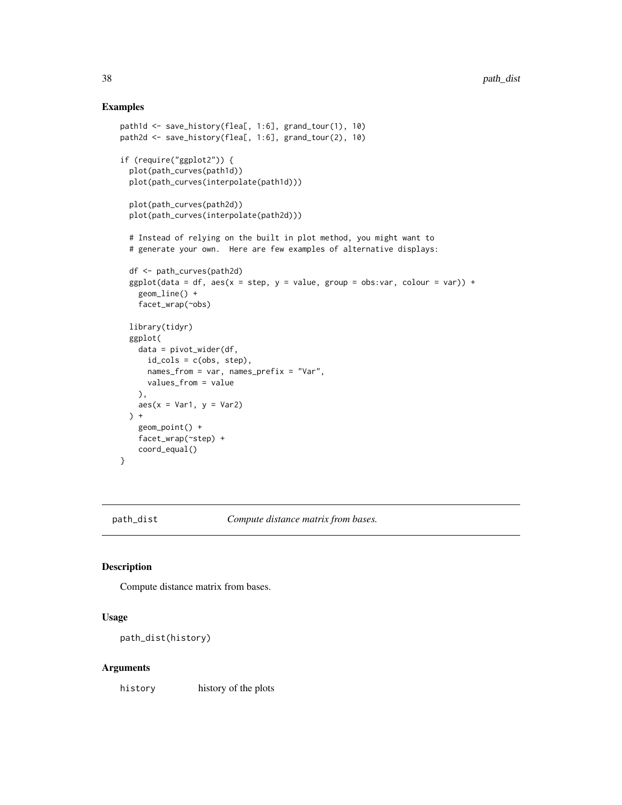## Examples

```
path1d <- save_history(flea[, 1:6], grand_tour(1), 10)
path2d <- save_history(flea[, 1:6], grand_tour(2), 10)
if (require("ggplot2")) {
  plot(path_curves(path1d))
  plot(path_curves(interpolate(path1d)))
  plot(path_curves(path2d))
  plot(path_curves(interpolate(path2d)))
  # Instead of relying on the built in plot method, you might want to
  # generate your own. Here are few examples of alternative displays:
  df <- path_curves(path2d)
  ggplot(data = df, aes(x = step, y = value, group = obs:var, colour = var)) +geom_line() +
   facet_wrap(~obs)
  library(tidyr)
  ggplot(
    data = pivot_wider(df,
      id\_cols = c(obs, step),names_from = var, names_prefix = "Var",
     values_from = value
   ),
   aes(x = Var1, y = Var2)) +
   geom_point() +
   facet_wrap(~step) +
    coord_equal()
}
```
path\_dist *Compute distance matrix from bases.*

#### Description

Compute distance matrix from bases.

#### Usage

path\_dist(history)

#### Arguments

history history of the plots

<span id="page-37-0"></span>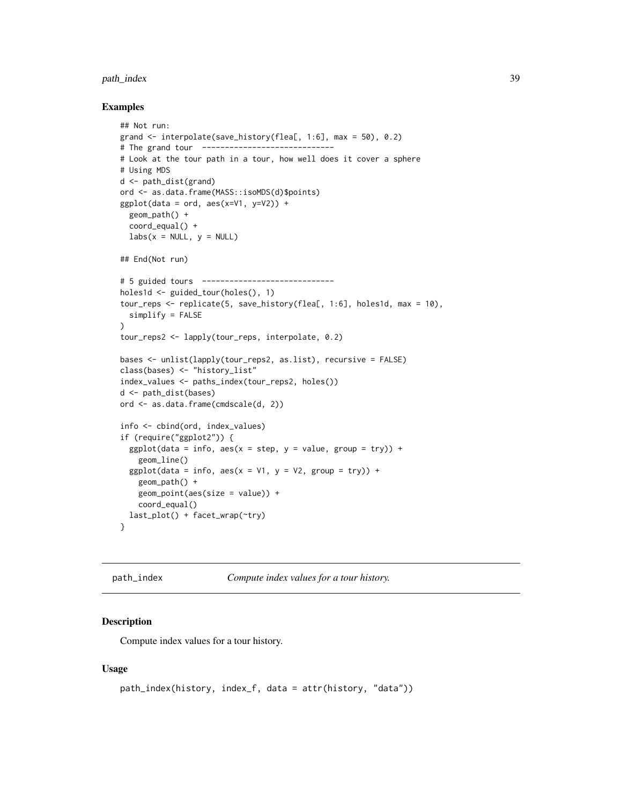## <span id="page-38-0"></span>path\_index 39

#### Examples

```
## Not run:
grand <- interpolate(save_history(flea[, 1:6], max = 50), 0.2)
# The grand tour -----------------------------
# Look at the tour path in a tour, how well does it cover a sphere
# Using MDS
d <- path_dist(grand)
ord <- as.data.frame(MASS::isoMDS(d)$points)
ggplot(data = ord, aes(x=V1, y=V2)) +geom_path() +
  coord_equal() +
  labs(x = NULL, y = NULL)## End(Not run)
# 5 guided tours -----------------------------
holes1d <- guided_tour(holes(), 1)
tour_reps <- replicate(5, save_history(flea[, 1:6], holes1d, max = 10),
  simplify = FALSE
)
tour_reps2 <- lapply(tour_reps, interpolate, 0.2)
bases <- unlist(lapply(tour_reps2, as.list), recursive = FALSE)
class(bases) <- "history_list"
index_values <- paths_index(tour_reps2, holes())
d <- path_dist(bases)
ord <- as.data.frame(cmdscale(d, 2))
info <- cbind(ord, index_values)
if (require("ggplot2")) {
  ggplot(data = info, aes(x = step, y = value, group = try)) +geom_line()
  ggplot(data = info, aes(x = V1, y = V2, group = try)) +geom_path() +
    geom_point(aes(size = value)) +
    coord_equal()
  last_plot() + facet_wrap(~try)
}
```
path\_index *Compute index values for a tour history.*

#### Description

Compute index values for a tour history.

#### Usage

```
path_index(history, index_f, data = attr(history, "data"))
```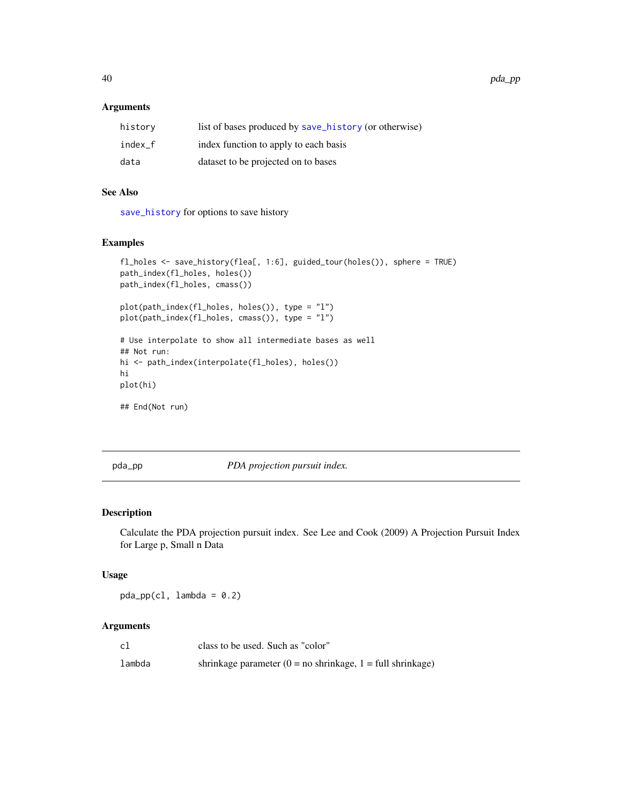40 pda\_pp

## Arguments

| history | list of bases produced by save_history (or otherwise) |
|---------|-------------------------------------------------------|
| index f | index function to apply to each basis                 |
| data    | dataset to be projected on to bases                   |

## See Also

[save\\_history](#page-46-1) for options to save history

## Examples

```
fl_holes <- save_history(flea[, 1:6], guided_tour(holes()), sphere = TRUE)
path_index(fl_holes, holes())
path_index(fl_holes, cmass())
plot(path_index(fl_holes, holes()), type = "l")
plot(path_index(fl_holes, cmass()), type = "l")
# Use interpolate to show all intermediate bases as well
## Not run:
hi <- path_index(interpolate(fl_holes), holes())
hi
plot(hi)
## End(Not run)
```
pda\_pp *PDA projection pursuit index.*

#### Description

Calculate the PDA projection pursuit index. See Lee and Cook (2009) A Projection Pursuit Index for Large p, Small n Data

## Usage

 $pda_pp(cl,$  lambda = 0.2)

| c1     | class to be used. Such as "color"                               |
|--------|-----------------------------------------------------------------|
| lambda | shrinkage parameter ( $0 = no$ shrinkage, $1 = full$ shrinkage) |

<span id="page-39-0"></span>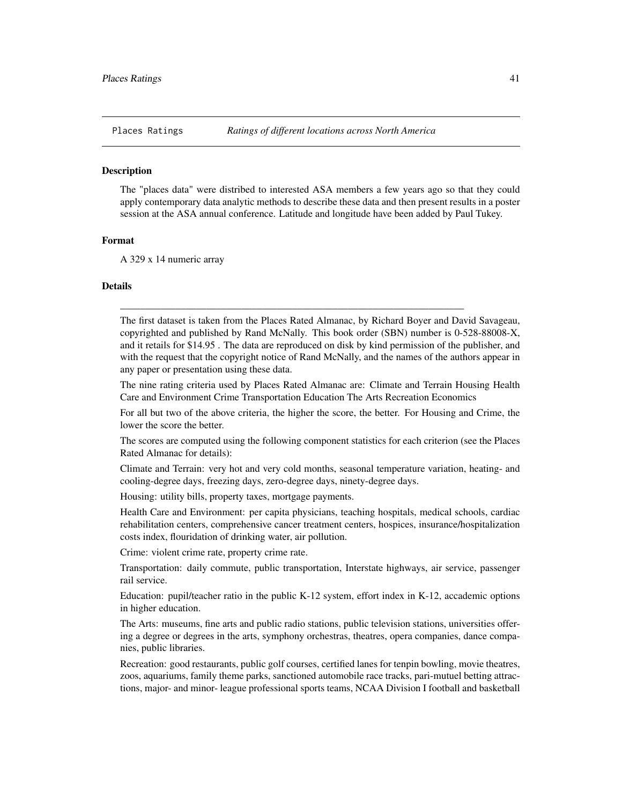<span id="page-40-0"></span>

The "places data" were distribed to interested ASA members a few years ago so that they could apply contemporary data analytic methods to describe these data and then present results in a poster session at the ASA annual conference. Latitude and longitude have been added by Paul Tukey.

#### Format

A 329 x 14 numeric array

## Details

The first dataset is taken from the Places Rated Almanac, by Richard Boyer and David Savageau, copyrighted and published by Rand McNally. This book order (SBN) number is 0-528-88008-X, and it retails for \$14.95 . The data are reproduced on disk by kind permission of the publisher, and with the request that the copyright notice of Rand McNally, and the names of the authors appear in any paper or presentation using these data.

\_\_\_\_\_\_\_\_\_\_\_\_\_\_\_\_\_\_\_\_\_\_\_\_\_\_\_\_\_\_\_\_\_\_\_\_\_\_\_\_\_\_\_\_\_\_\_\_\_\_\_\_\_\_\_\_\_\_\_\_\_\_\_\_\_\_\_\_

The nine rating criteria used by Places Rated Almanac are: Climate and Terrain Housing Health Care and Environment Crime Transportation Education The Arts Recreation Economics

For all but two of the above criteria, the higher the score, the better. For Housing and Crime, the lower the score the better.

The scores are computed using the following component statistics for each criterion (see the Places Rated Almanac for details):

Climate and Terrain: very hot and very cold months, seasonal temperature variation, heating- and cooling-degree days, freezing days, zero-degree days, ninety-degree days.

Housing: utility bills, property taxes, mortgage payments.

Health Care and Environment: per capita physicians, teaching hospitals, medical schools, cardiac rehabilitation centers, comprehensive cancer treatment centers, hospices, insurance/hospitalization costs index, flouridation of drinking water, air pollution.

Crime: violent crime rate, property crime rate.

Transportation: daily commute, public transportation, Interstate highways, air service, passenger rail service.

Education: pupil/teacher ratio in the public K-12 system, effort index in K-12, accademic options in higher education.

The Arts: museums, fine arts and public radio stations, public television stations, universities offering a degree or degrees in the arts, symphony orchestras, theatres, opera companies, dance companies, public libraries.

Recreation: good restaurants, public golf courses, certified lanes for tenpin bowling, movie theatres, zoos, aquariums, family theme parks, sanctioned automobile race tracks, pari-mutuel betting attractions, major- and minor- league professional sports teams, NCAA Division I football and basketball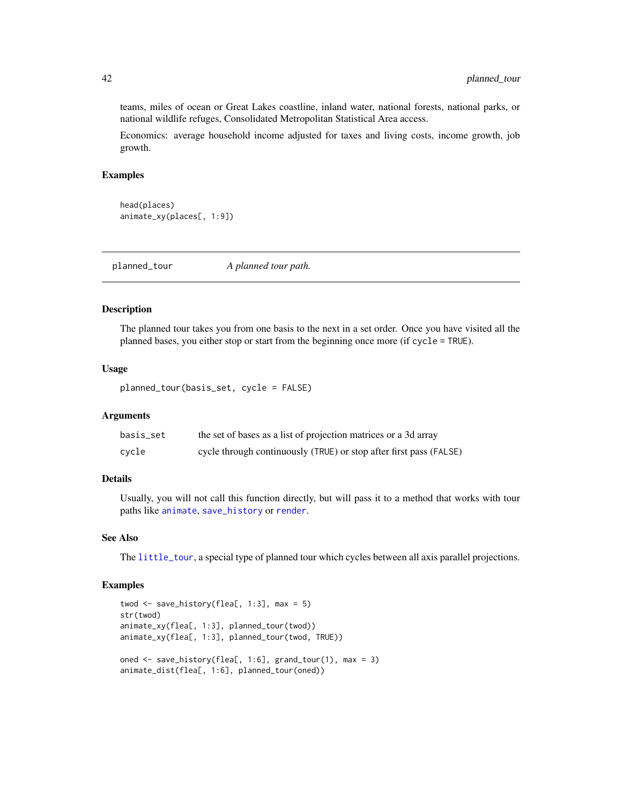teams, miles of ocean or Great Lakes coastline, inland water, national forests, national parks, or national wildlife refuges, Consolidated Metropolitan Statistical Area access.

Economics: average household income adjusted for taxes and living costs, income growth, job growth.

#### Examples

```
head(places)
animate_xy(places[, 1:9])
```
<span id="page-41-1"></span>planned\_tour *A planned tour path.*

## Description

The planned tour takes you from one basis to the next in a set order. Once you have visited all the planned bases, you either stop or start from the beginning once more (if cycle = TRUE).

## Usage

```
planned_tour(basis_set, cycle = FALSE)
```
#### Arguments

| basis set | the set of bases as a list of projection matrices or a 3d array    |
|-----------|--------------------------------------------------------------------|
| cycle     | cycle through continuously (TRUE) or stop after first pass (FALSE) |

## Details

Usually, you will not call this function directly, but will pass it to a method that works with tour paths like [animate](#page-4-1), [save\\_history](#page-46-1) or [render](#page-43-1).

#### See Also

The [little\\_tour](#page-33-1), a special type of planned tour which cycles between all axis parallel projections.

#### Examples

```
twod \leq save_history(flea[, 1:3], max = 5)
str(twod)
animate_xy(flea[, 1:3], planned_tour(twod))
animate_xy(flea[, 1:3], planned_tour(twod, TRUE))
oned <- save_history(flea[, 1:6], grand_tour(1), max = 3)
animate_dist(flea[, 1:6], planned_tour(oned))
```
<span id="page-41-0"></span>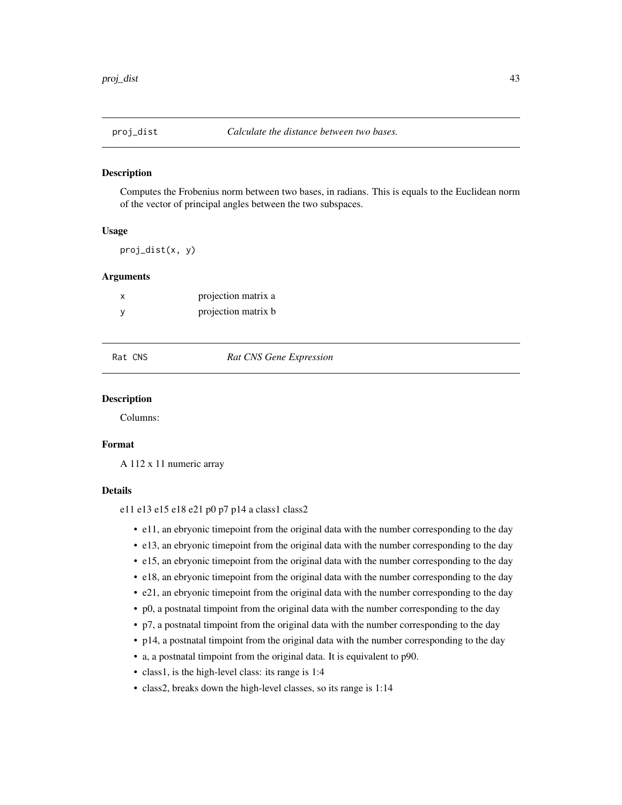<span id="page-42-0"></span>

Computes the Frobenius norm between two bases, in radians. This is equals to the Euclidean norm of the vector of principal angles between the two subspaces.

#### Usage

proj\_dist(x, y)

#### Arguments

| projection matrix a |
|---------------------|
| projection matrix b |

Rat CNS *Rat CNS Gene Expression*

#### Description

Columns:

#### Format

A 112 x 11 numeric array

#### Details

e11 e13 e15 e18 e21 p0 p7 p14 a class1 class2

- e11, an ebryonic timepoint from the original data with the number corresponding to the day
- e13, an ebryonic timepoint from the original data with the number corresponding to the day
- e15, an ebryonic timepoint from the original data with the number corresponding to the day
- e18, an ebryonic timepoint from the original data with the number corresponding to the day
- e21, an ebryonic timepoint from the original data with the number corresponding to the day
- p0, a postnatal timpoint from the original data with the number corresponding to the day
- p7, a postnatal timpoint from the original data with the number corresponding to the day
- p14, a postnatal timpoint from the original data with the number corresponding to the day
- a, a postnatal timpoint from the original data. It is equivalent to p90.
- class1, is the high-level class: its range is 1:4
- class2, breaks down the high-level classes, so its range is 1:14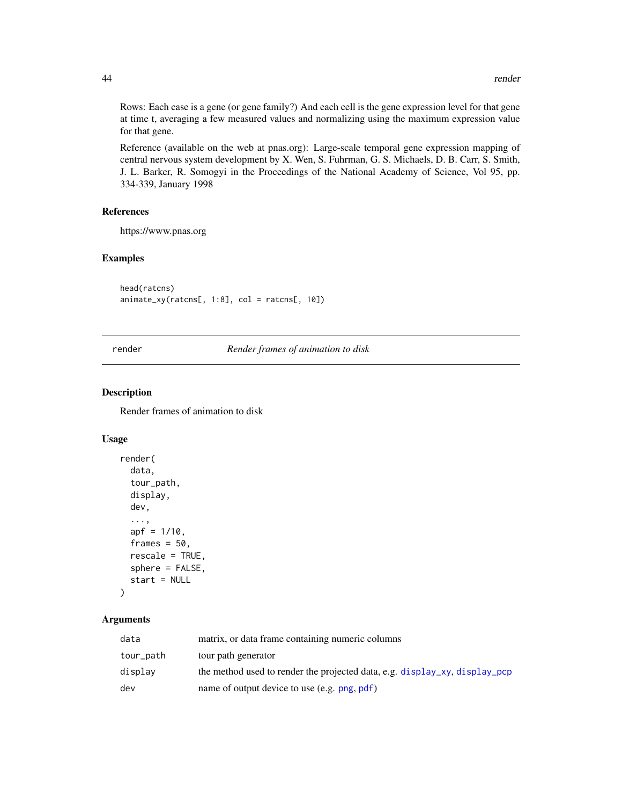Rows: Each case is a gene (or gene family?) And each cell is the gene expression level for that gene at time t, averaging a few measured values and normalizing using the maximum expression value for that gene.

Reference (available on the web at pnas.org): Large-scale temporal gene expression mapping of central nervous system development by X. Wen, S. Fuhrman, G. S. Michaels, D. B. Carr, S. Smith, J. L. Barker, R. Somogyi in the Proceedings of the National Academy of Science, Vol 95, pp. 334-339, January 1998

## References

https://www.pnas.org

## Examples

head(ratcns) animate\_xy(ratcns[, 1:8], col = ratcns[, 10])

<span id="page-43-1"></span>render *Render frames of animation to disk*

## Description

Render frames of animation to disk

#### Usage

```
render(
  data,
  tour_path,
 display,
  dev,
  ...,
  apf = 1/10,
  frames = 50,
  rescale = TRUE,
  sphere = FALSE,
  start = NULL
)
```

| data      | matrix, or data frame containing numeric columns                           |
|-----------|----------------------------------------------------------------------------|
| tour_path | tour path generator                                                        |
| displav   | the method used to render the projected data, e.g. display_xy, display_pcp |
| dev       | name of output device to use (e.g. png, pdf)                               |

<span id="page-43-0"></span>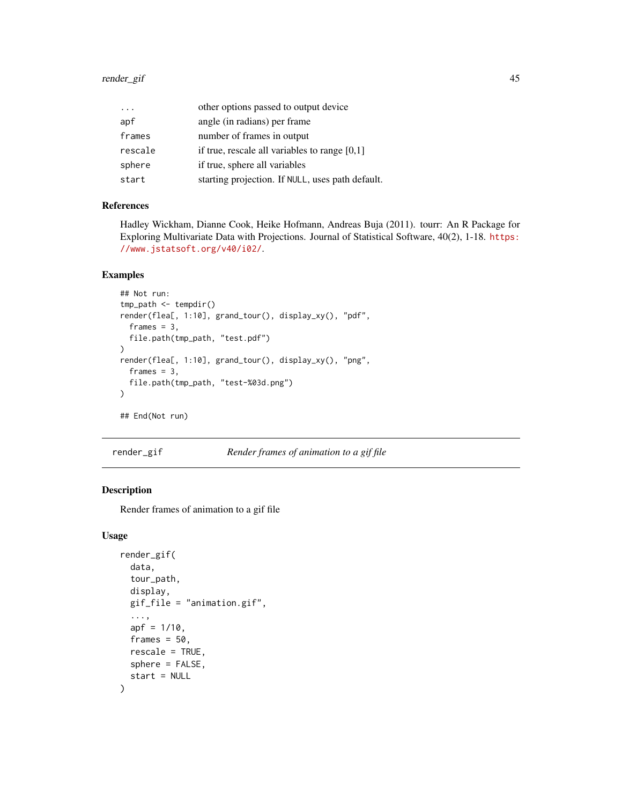<span id="page-44-0"></span>

| $\cdot$ | other options passed to output device            |
|---------|--------------------------------------------------|
| apf     | angle (in radians) per frame                     |
| frames  | number of frames in output                       |
| rescale | if true, rescale all variables to range $[0,1]$  |
| sphere  | if true, sphere all variables                    |
| start   | starting projection. If NULL, uses path default. |

#### References

Hadley Wickham, Dianne Cook, Heike Hofmann, Andreas Buja (2011). tourr: An R Package for Exploring Multivariate Data with Projections. Journal of Statistical Software, 40(2), 1-18. [https:](https://www.jstatsoft.org/v40/i02/) [//www.jstatsoft.org/v40/i02/](https://www.jstatsoft.org/v40/i02/).

## Examples

```
## Not run:
tmp_path <- tempdir()
render(flea[, 1:10], grand_tour(), display_xy(), "pdf",
  frames = 3,
  file.path(tmp_path, "test.pdf")
)
render(flea[, 1:10], grand_tour(), display_xy(), "png",
  frames = 3,
  file.path(tmp_path, "test-%03d.png")
)
## End(Not run)
```
render\_gif *Render frames of animation to a gif file*

## Description

Render frames of animation to a gif file

## Usage

```
render_gif(
 data,
  tour_path,
 display,
 gif_file = "animation.gif",
  ...,
 apf = 1/10,
 frames = 50,
 rescale = TRUE,
  sphere = FALSE,
  start = NULL
)
```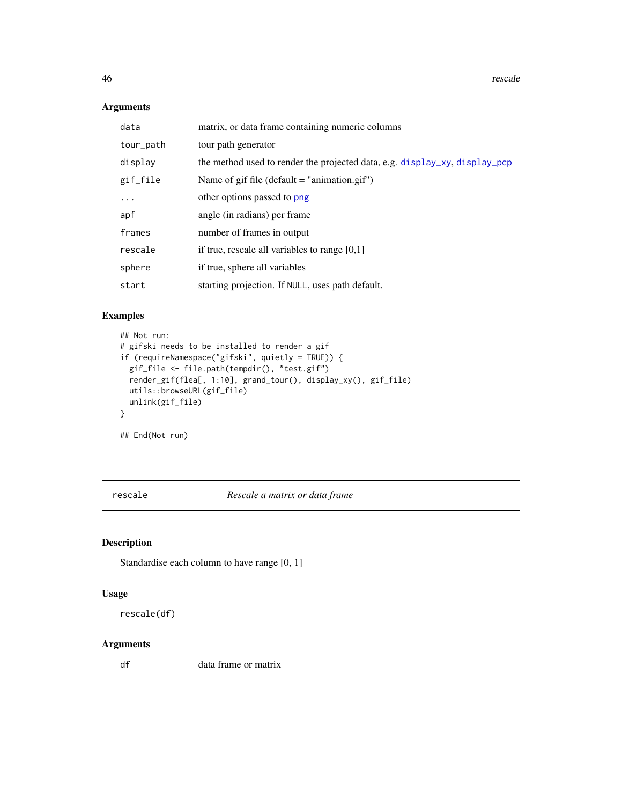46 rescale to the contract of the contract of the contract of the contract of the contract of the contract of the contract of the contract of the contract of the contract of the contract of the contract of the contract of

## Arguments

| data      | matrix, or data frame containing numeric columns                           |
|-----------|----------------------------------------------------------------------------|
| tour_path | tour path generator                                                        |
| display   | the method used to render the projected data, e.g. display_xy, display_pcp |
| gif_file  | Name of gif file (default $=$ "animation.gif")                             |
| $\cdots$  | other options passed to png                                                |
| apf       | angle (in radians) per frame                                               |
| frames    | number of frames in output                                                 |
| rescale   | if true, rescale all variables to range $[0,1]$                            |
| sphere    | if true, sphere all variables                                              |
| start     | starting projection. If NULL, uses path default.                           |

## Examples

```
## Not run:
# gifski needs to be installed to render a gif
if (requireNamespace("gifski", quietly = TRUE)) {
  gif_file <- file.path(tempdir(), "test.gif")
  render_gif(flea[, 1:10], grand_tour(), display_xy(), gif_file)
  utils::browseURL(gif_file)
  unlink(gif_file)
}
```
## End(Not run)

rescale *Rescale a matrix or data frame*

## Description

Standardise each column to have range [0, 1]

#### Usage

rescale(df)

## Arguments

df data frame or matrix

<span id="page-45-0"></span>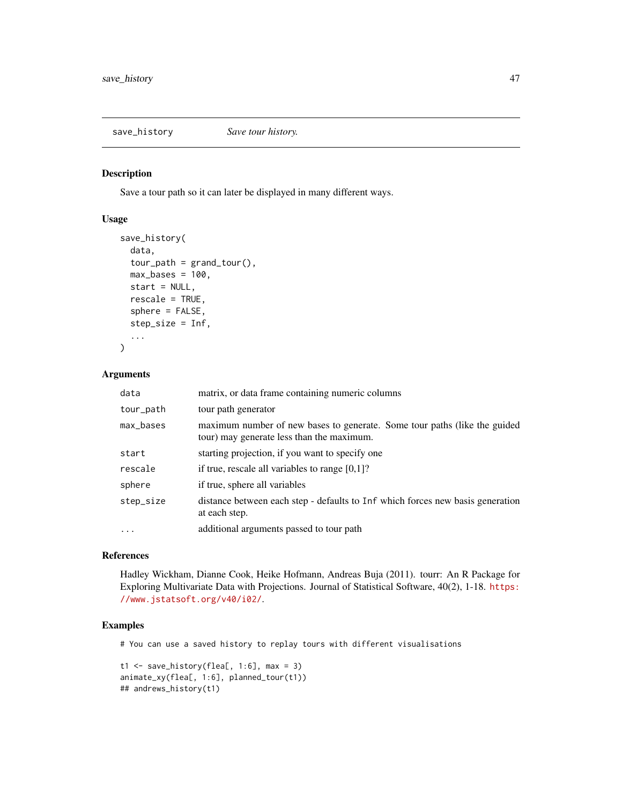<span id="page-46-1"></span><span id="page-46-0"></span>save\_history *Save tour history.*

## Description

Save a tour path so it can later be displayed in many different ways.

#### Usage

```
save_history(
 data,
  tour_path = grand_tour(),
 max_b = 100,
 start = NULL,rescale = TRUE,
  sphere = FALSE,
  step_size = Inf,
  ...
\mathcal{L}
```
## Arguments

| data      | matrix, or data frame containing numeric columns                                                                       |
|-----------|------------------------------------------------------------------------------------------------------------------------|
| tour_path | tour path generator                                                                                                    |
| max_bases | maximum number of new bases to generate. Some tour paths (like the guided<br>tour) may generate less than the maximum. |
| start     | starting projection, if you want to specify one                                                                        |
| rescale   | if true, rescale all variables to range $[0,1]$ ?                                                                      |
| sphere    | if true, sphere all variables                                                                                          |
| step_size | distance between each step - defaults to Inf which forces new basis generation<br>at each step.                        |
| $\ddotsc$ | additional arguments passed to tour path                                                                               |

#### References

Hadley Wickham, Dianne Cook, Heike Hofmann, Andreas Buja (2011). tourr: An R Package for Exploring Multivariate Data with Projections. Journal of Statistical Software, 40(2), 1-18. [https:](https://www.jstatsoft.org/v40/i02/) [//www.jstatsoft.org/v40/i02/](https://www.jstatsoft.org/v40/i02/).

## Examples

# You can use a saved history to replay tours with different visualisations

```
t1 \le save_history(flea[, 1:6], max = 3)
animate_xy(flea[, 1:6], planned_tour(t1))
## andrews_history(t1)
```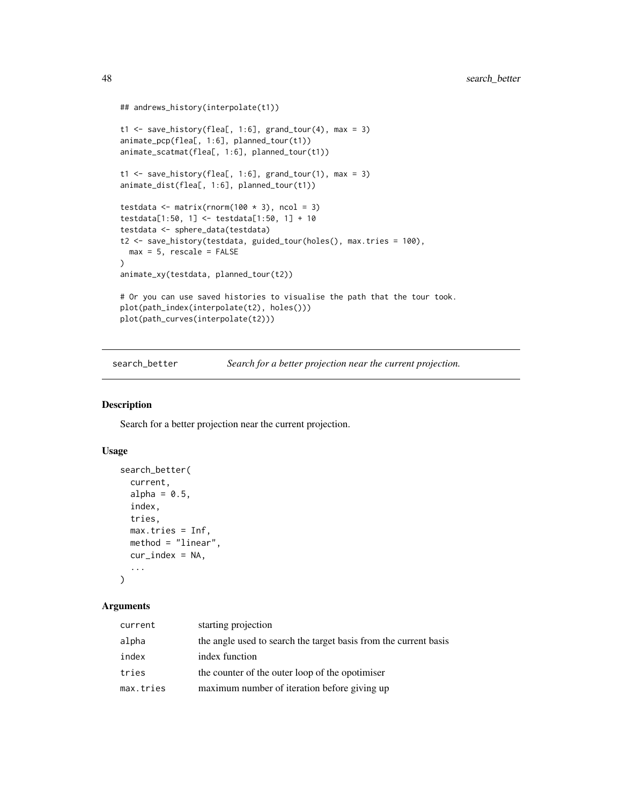```
## andrews_history(interpolate(t1))
t1 <- save_history(flea[, 1:6], grand_tour(4), max = 3)
animate_pcp(flea[, 1:6], planned_tour(t1))
animate_scatmat(flea[, 1:6], planned_tour(t1))
t1 <- save_history(flea[, 1:6], grand_tour(1), max = 3)
animate_dist(flea[, 1:6], planned_tour(t1))
testdata <- matrix(rnorm(100 * 3), ncol = 3)
testdata[1:50, 1] <- testdata[1:50, 1] + 10
testdata <- sphere_data(testdata)
t2 <- save_history(testdata, guided_tour(holes(), max.tries = 100),
 max = 5, rescale = FALSE
)
animate_xy(testdata, planned_tour(t2))
# Or you can use saved histories to visualise the path that the tour took.
plot(path_index(interpolate(t2), holes()))
plot(path_curves(interpolate(t2)))
```
<span id="page-47-1"></span>search\_better *Search for a better projection near the current projection.*

#### Description

Search for a better projection near the current projection.

#### Usage

```
search_better(
  current,
 alpha = 0.5,
 index,
  tries,
 max.tries = Inf,
 method = "linear",
 cur\_index = NA,
  ...
)
```

| current   | starting projection                                              |
|-----------|------------------------------------------------------------------|
| alpha     | the angle used to search the target basis from the current basis |
| index     | index function                                                   |
| tries     | the counter of the outer loop of the opotimiser                  |
| max.tries | maximum number of iteration before giving up                     |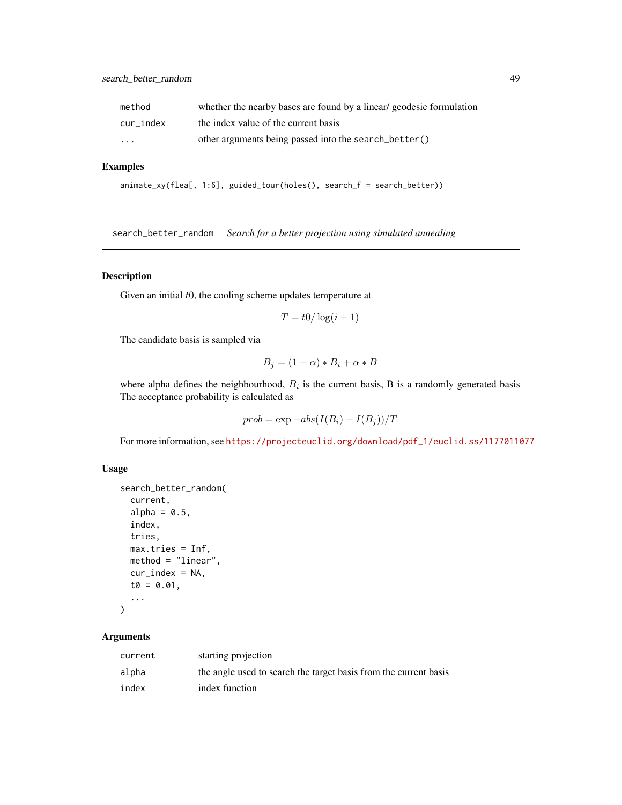<span id="page-48-0"></span>

| method    | whether the nearby bases are found by a linear geodesic formulation |
|-----------|---------------------------------------------------------------------|
| cur index | the index value of the current basis                                |
| $\cdot$   | other arguments being passed into the search_better()               |

## Examples

```
animate_xy(flea[, 1:6], guided_tour(holes(), search_f = search_better))
```
<span id="page-48-1"></span>search\_better\_random *Search for a better projection using simulated annealing*

## Description

Given an initial  $t0$ , the cooling scheme updates temperature at

$$
T = t0/\log(i+1)
$$

The candidate basis is sampled via

$$
B_j = (1 - \alpha) * B_i + \alpha * B
$$

where alpha defines the neighbourhood,  $B_i$  is the current basis, B is a randomly generated basis The acceptance probability is calculated as

$$
prob = \exp -abs(I(B_i) - I(B_j))/T
$$

For more information, see [https://projecteuclid.org/download/pdf\\_1/euclid.ss/1177011077](https://projecteuclid.org/download/pdf_1/euclid.ss/1177011077)

## Usage

```
search_better_random(
  current,
  alpha = 0.5,
  index,
  tries,
 max.tries = Inf,
 method = "linear",
 cur\_index = NA,
  t0 = 0.01,
  ...
)
```

| current | starting projection                                              |
|---------|------------------------------------------------------------------|
| alpha   | the angle used to search the target basis from the current basis |
| index   | index function                                                   |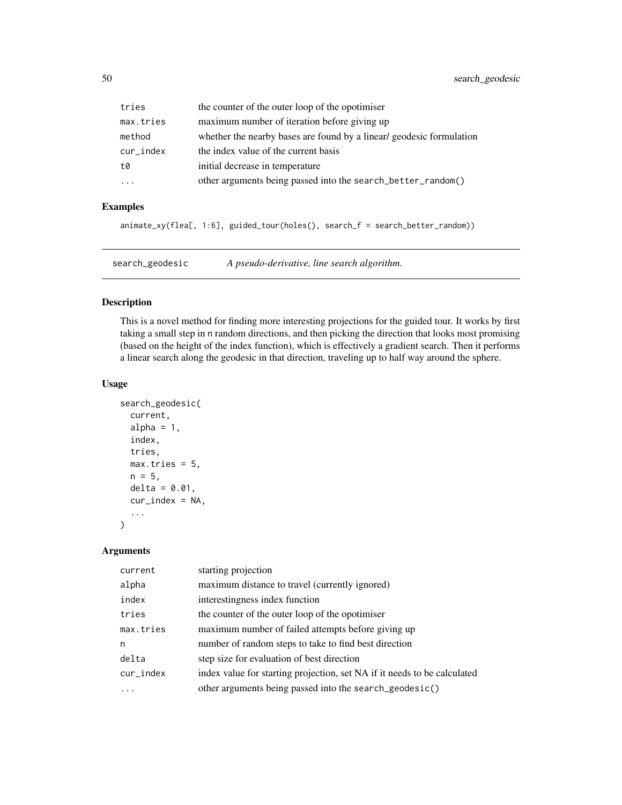<span id="page-49-0"></span>

| tries     | the counter of the outer loop of the opotimiser                     |
|-----------|---------------------------------------------------------------------|
| max.tries | maximum number of iteration before giving up                        |
| method    | whether the nearby bases are found by a linear geodesic formulation |
| cur_index | the index value of the current basis                                |
| t0        | initial decrease in temperature                                     |
| .         | other arguments being passed into the search_better_random()        |

## Examples

```
animate_xy(flea[, 1:6], guided_tour(holes(), search_f = search_better_random))
```
<span id="page-49-1"></span>search\_geodesic *A pseudo-derivative, line search algorithm.*

#### Description

This is a novel method for finding more interesting projections for the guided tour. It works by first taking a small step in n random directions, and then picking the direction that looks most promising (based on the height of the index function), which is effectively a gradient search. Then it performs a linear search along the geodesic in that direction, traveling up to half way around the sphere.

#### Usage

```
search_geodesic(
  current,
  alpha = 1,
  index,
  tries,
 max.tries = 5,n = 5,
 delta = 0.01,
  cur\_index = NA,
  ...
)
```

| current      | starting projection                                                      |
|--------------|--------------------------------------------------------------------------|
| alpha        | maximum distance to travel (currently ignored)                           |
| index        | interestingness index function                                           |
| tries        | the counter of the outer loop of the opotimiser                          |
| max.tries    | maximum number of failed attempts before giving up                       |
| n            | number of random steps to take to find best direction                    |
| delta        | step size for evaluation of best direction                               |
| $cur\_index$ | index value for starting projection, set NA if it needs to be calculated |
| .            | other arguments being passed into the search_geodesic()                  |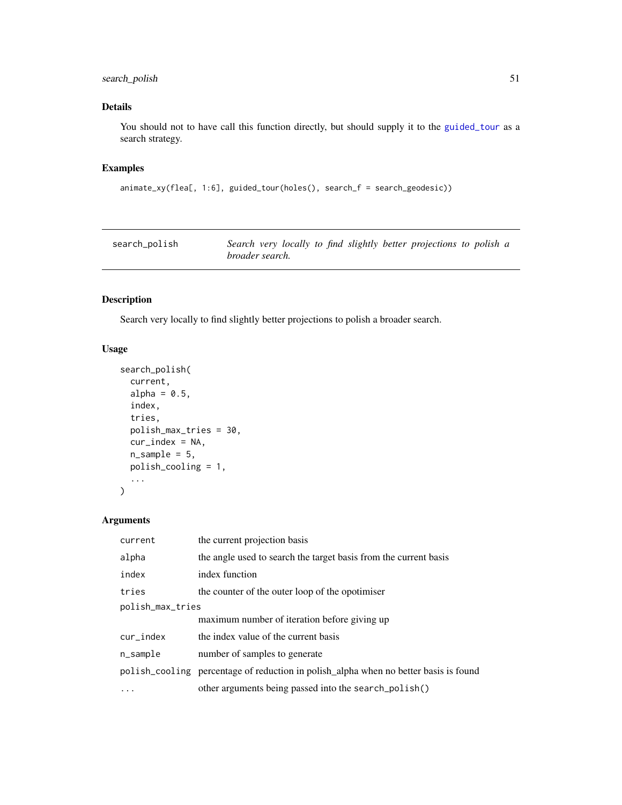## <span id="page-50-0"></span>search\_polish 51

## Details

You should not to have call this function directly, but should supply it to the [guided\\_tour](#page-29-1) as a search strategy.

## Examples

```
animate_xy(flea[, 1:6], guided_tour(holes(), search_f = search_geodesic))
```
<span id="page-50-1"></span>

| search_polish | Search very locally to find slightly better projections to polish a |
|---------------|---------------------------------------------------------------------|
|               | broader search.                                                     |

## Description

Search very locally to find slightly better projections to polish a broader search.

## Usage

```
search_polish(
  current,
  alpha = 0.5,
  index,
  tries,
  polish_max_tries = 30,
  cur\_index = NA,
  n_sample = 5,
  polish_cooling = 1,
  ...
\mathcal{L}
```

| current          | the current projection basis                                                         |  |
|------------------|--------------------------------------------------------------------------------------|--|
| alpha            | the angle used to search the target basis from the current basis                     |  |
| index            | index function                                                                       |  |
| tries            | the counter of the outer loop of the opotimiser                                      |  |
| polish_max_tries |                                                                                      |  |
|                  | maximum number of iteration before giving up                                         |  |
| $cur\_index$     | the index value of the current basis                                                 |  |
| $n$ _sample      | number of samples to generate                                                        |  |
|                  | polish_cooling percentage of reduction in polish_alpha when no better basis is found |  |
|                  | other arguments being passed into the search_polish()                                |  |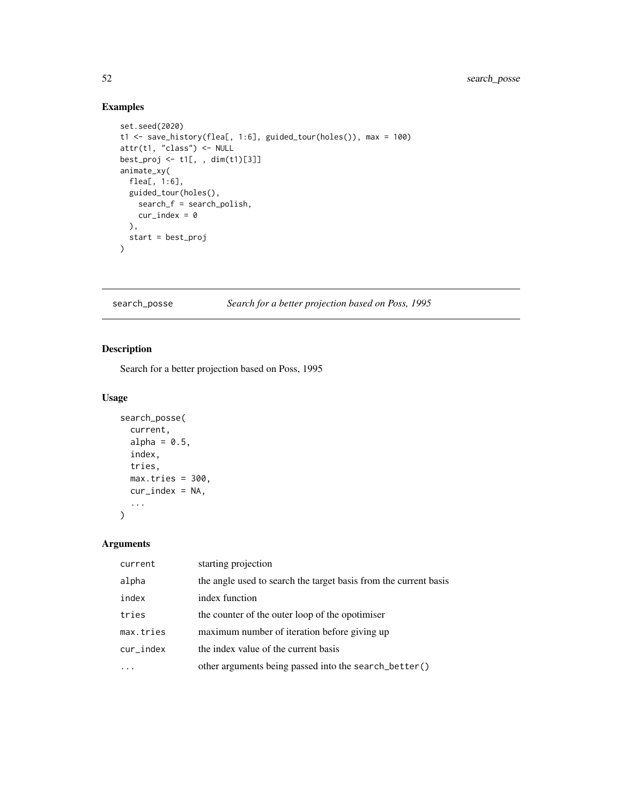## Examples

```
set.seed(2020)
t1 <- save_history(flea[, 1:6], guided_tour(holes()), max = 100)
attr(t1, "class") <- NULL
best_proj <- t1[, , dim(t1)[3]]
animate_xy(
  flea[, 1:6],
  guided_tour(holes(),
    search_f = search_polish,
    cur\_index = 0),
  start = best_proj
\mathcal{L}
```
## search\_posse *Search for a better projection based on Poss, 1995*

## Description

Search for a better projection based on Poss, 1995

## Usage

```
search_posse(
  current,
  alpha = 0.5,
  index,
  tries,
 max.tries = 300,cur\_index = NA,
  ...
```
)

| current   | starting projection                                              |
|-----------|------------------------------------------------------------------|
| alpha     | the angle used to search the target basis from the current basis |
| index     | index function                                                   |
| tries     | the counter of the outer loop of the opotimiser                  |
| max.tries | maximum number of iteration before giving up                     |
| cur_index | the index value of the current basis                             |
|           | other arguments being passed into the search_better()            |

<span id="page-51-0"></span>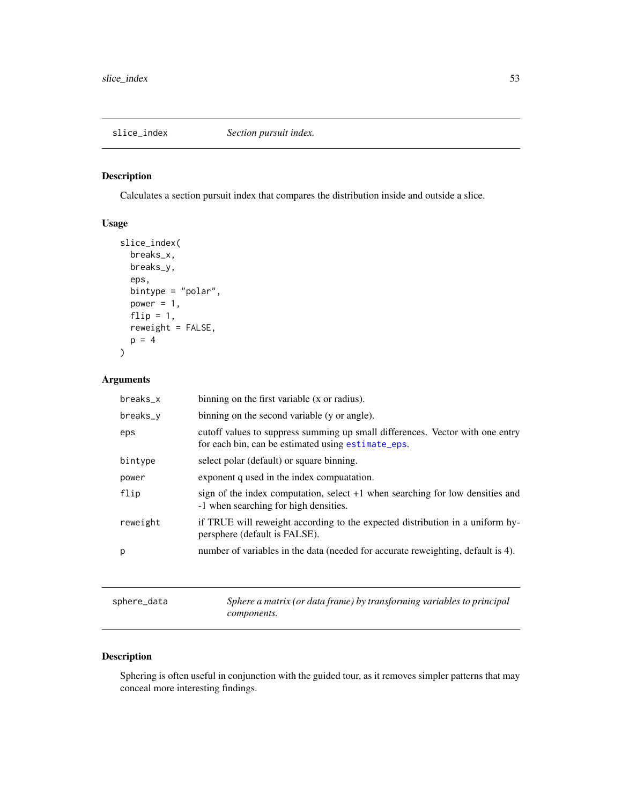<span id="page-52-1"></span><span id="page-52-0"></span>

Calculates a section pursuit index that compares the distribution inside and outside a slice.

## Usage

```
slice_index(
 breaks_x,
 breaks_y,
  eps,
 bintype = "polar",
 power = 1,
  flip = 1,
  reweight = FALSE,p = 4)
```
## Arguments

| breaks_x | binning on the first variable (x or radius).                                                                                        |
|----------|-------------------------------------------------------------------------------------------------------------------------------------|
| breaks_y | binning on the second variable (y or angle).                                                                                        |
| eps      | cutoff values to suppress summing up small differences. Vector with one entry<br>for each bin, can be estimated using estimate_eps. |
| bintype  | select polar (default) or square binning.                                                                                           |
| power    | exponent q used in the index computation.                                                                                           |
| flip     | sign of the index computation, select $+1$ when searching for low densities and<br>-1 when searching for high densities.            |
| reweight | if TRUE will reweight according to the expected distribution in a uniform hy-<br>persphere (default is FALSE).                      |
| р        | number of variables in the data (needed for accurate reweighting, default is 4).                                                    |
|          |                                                                                                                                     |

sphere\_data *Sphere a matrix (or data frame) by transforming variables to principal components.*

## Description

Sphering is often useful in conjunction with the guided tour, as it removes simpler patterns that may conceal more interesting findings.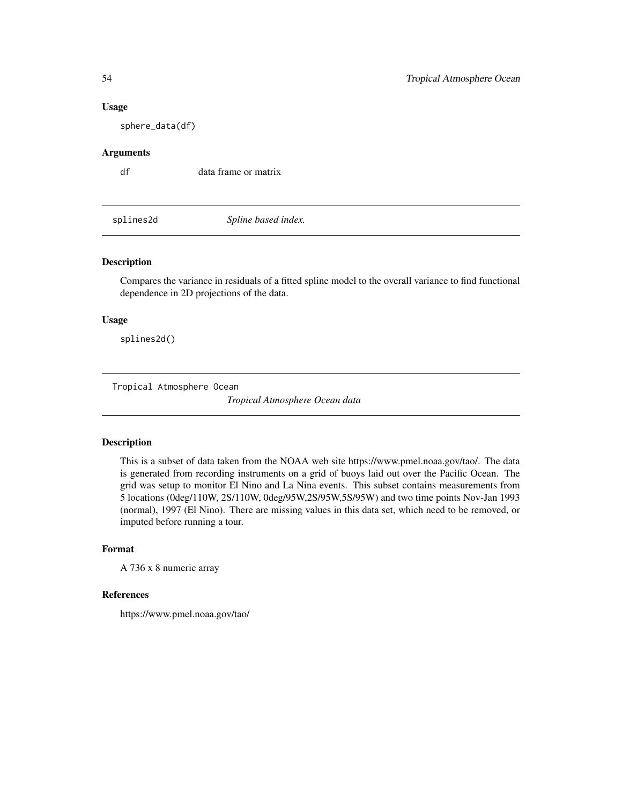#### Usage

sphere\_data(df)

## Arguments

df data frame or matrix

splines2d *Spline based index.*

## Description

Compares the variance in residuals of a fitted spline model to the overall variance to find functional dependence in 2D projections of the data.

## Usage

splines2d()

Tropical Atmosphere Ocean

*Tropical Atmosphere Ocean data*

## Description

This is a subset of data taken from the NOAA web site https://www.pmel.noaa.gov/tao/. The data is generated from recording instruments on a grid of buoys laid out over the Pacific Ocean. The grid was setup to monitor El Nino and La Nina events. This subset contains measurements from 5 locations (0deg/110W, 2S/110W, 0deg/95W,2S/95W,5S/95W) and two time points Nov-Jan 1993 (normal), 1997 (El Nino). There are missing values in this data set, which need to be removed, or imputed before running a tour.

#### Format

A 736 x 8 numeric array

#### References

https://www.pmel.noaa.gov/tao/

<span id="page-53-0"></span>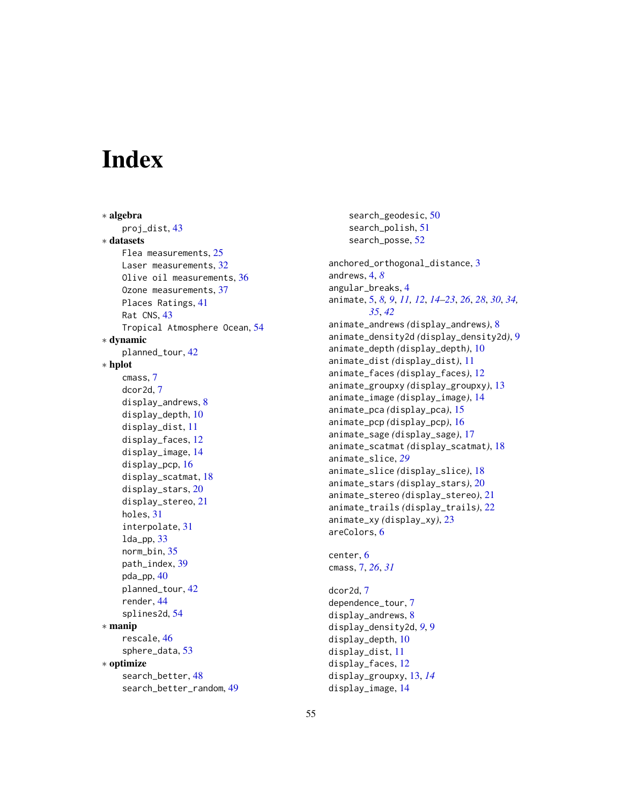# <span id="page-54-0"></span>**Index**

∗ algebra proj\_dist, [43](#page-42-0) ∗ datasets Flea measurements, [25](#page-24-0) Laser measurements, [32](#page-31-0) Olive oil measurements, [36](#page-35-0) Ozone measurements, [37](#page-36-0) Places Ratings, [41](#page-40-0) Rat CNS, [43](#page-42-0) Tropical Atmosphere Ocean, [54](#page-53-0) ∗ dynamic planned\_tour, [42](#page-41-0) ∗ hplot cmass, [7](#page-6-0) dcor2d, [7](#page-6-0) display\_andrews, [8](#page-7-0) display\_depth, [10](#page-9-0) display\_dist, [11](#page-10-0) display\_faces, [12](#page-11-0) display\_image, [14](#page-13-0) display\_pcp, [16](#page-15-0) display\_scatmat, [18](#page-17-0) display\_stars, [20](#page-19-0) display\_stereo, [21](#page-20-0) holes, [31](#page-30-0) interpolate, [31](#page-30-0)  $lda$ \_pp,  $33$ norm\_bin, [35](#page-34-0) path\_index, [39](#page-38-0) pda\_pp, [40](#page-39-0) planned\_tour, [42](#page-41-0) render, [44](#page-43-0) splines2d, [54](#page-53-0) ∗ manip rescale, [46](#page-45-0) sphere\_data, [53](#page-52-0) ∗ optimize search\_better, [48](#page-47-0) search\_better\_random, [49](#page-48-0)

search\_geodesic, [50](#page-49-0) search\_polish, [51](#page-50-0) search\_posse, [52](#page-51-0) anchored\_orthogonal\_distance, [3](#page-2-0) andrews, [4,](#page-3-0) *[8](#page-7-0)* angular\_breaks, [4](#page-3-0) animate, [5,](#page-4-0) *[8,](#page-7-0) [9](#page-8-0)*, *[11,](#page-10-0) [12](#page-11-0)*, *[14](#page-13-0)[–23](#page-22-0)*, *[26](#page-25-0)*, *[28](#page-27-0)*, *[30](#page-29-0)*, *[34,](#page-33-0) [35](#page-34-0)*, *[42](#page-41-0)* animate\_andrews *(*display\_andrews*)*, [8](#page-7-0) animate\_density2d *(*display\_density2d*)*, [9](#page-8-0) animate\_depth *(*display\_depth*)*, [10](#page-9-0) animate\_dist *(*display\_dist*)*, [11](#page-10-0) animate\_faces *(*display\_faces*)*, [12](#page-11-0) animate\_groupxy *(*display\_groupxy*)*, [13](#page-12-0) animate\_image *(*display\_image*)*, [14](#page-13-0) animate\_pca *(*display\_pca*)*, [15](#page-14-0) animate\_pcp *(*display\_pcp*)*, [16](#page-15-0) animate\_sage *(*display\_sage*)*, [17](#page-16-0) animate\_scatmat *(*display\_scatmat*)*, [18](#page-17-0) animate\_slice, *[29](#page-28-0)* animate\_slice *(*display\_slice*)*, [18](#page-17-0) animate\_stars *(*display\_stars*)*, [20](#page-19-0) animate\_stereo *(*display\_stereo*)*, [21](#page-20-0) animate\_trails *(*display\_trails*)*, [22](#page-21-0) animate\_xy *(*display\_xy*)*, [23](#page-22-0) areColors, [6](#page-5-0)

center, [6](#page-5-0) cmass, [7,](#page-6-0) *[26](#page-25-0)*, *[31](#page-30-0)*

dcor2d, [7](#page-6-0) dependence\_tour, [7](#page-6-0) display\_andrews, [8](#page-7-0) display\_density2d, *[9](#page-8-0)*, [9](#page-8-0) display\_depth, [10](#page-9-0) display\_dist, [11](#page-10-0) display\_faces, [12](#page-11-0) display\_groupxy, [13,](#page-12-0) *[14](#page-13-0)* display\_image, [14](#page-13-0)